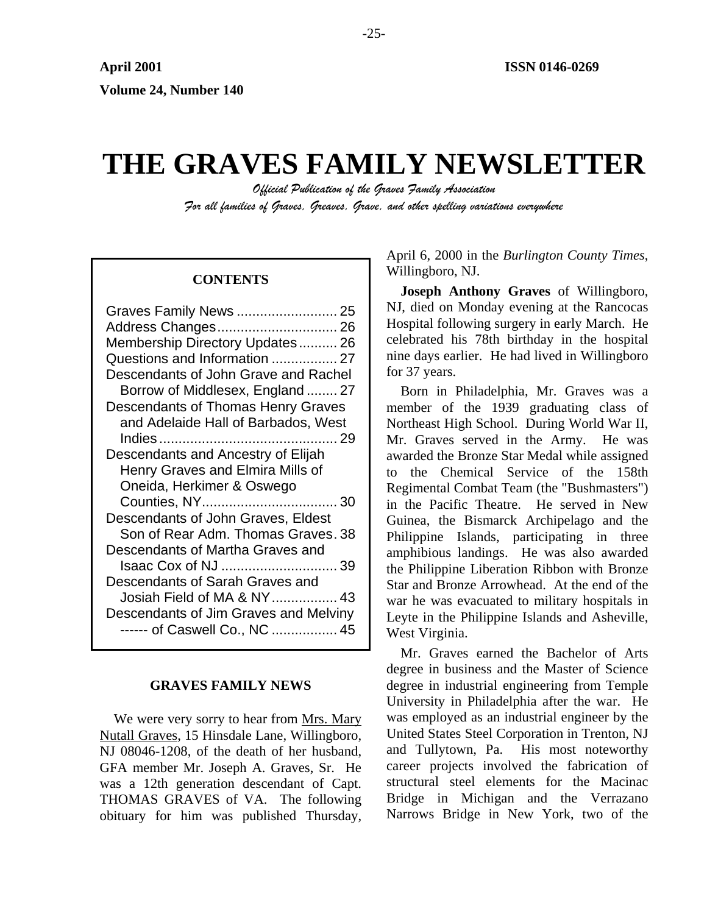# **THE GRAVES FAMILY NEWSLETTER**

*Official Publication of the Graves Family Association For all families of Graves, Greaves, Grave, and other spelling variations everywhere* 

| Graves Family News  25                |
|---------------------------------------|
|                                       |
| Membership Directory Updates 26       |
| Questions and Information  27         |
| Descendants of John Grave and Rachel  |
| Borrow of Middlesex, England  27      |
| Descendants of Thomas Henry Graves    |
| and Adelaide Hall of Barbados, West   |
|                                       |
| Descendants and Ancestry of Elijah    |
| Henry Graves and Elmira Mills of      |
| Oneida, Herkimer & Oswego             |
|                                       |
| Descendants of John Graves, Eldest    |
| Son of Rear Adm. Thomas Graves. 38    |
| Descendants of Martha Graves and      |
| Isaac Cox of NJ  39                   |
| Descendants of Sarah Graves and       |
| Josiah Field of MA & NY 43            |
| Descendants of Jim Graves and Melviny |
| ------ of Caswell Co., NC  45         |
|                                       |

# **GRAVES FAMILY NEWS**

We were very sorry to hear from Mrs. Mary Nutall Graves, 15 Hinsdale Lane, Willingboro, NJ 08046-1208, of the death of her husband, GFA member Mr. Joseph A. Graves, Sr. He was a 12th generation descendant of Capt. THOMAS GRAVES of VA. The following obituary for him was published Thursday,

April 6, 2000 in the *Burlington County Times*, Willingboro, NJ. **CONTENTS** 

> **Joseph Anthony Graves** of Willingboro, NJ, died on Monday evening at the Rancocas Hospital following surgery in early March. He celebrated his 78th birthday in the hospital nine days earlier. He had lived in Willingboro for 37 years.

> Born in Philadelphia, Mr. Graves was a member of the 1939 graduating class of Northeast High School. During World War II, Mr. Graves served in the Army. He was awarded the Bronze Star Medal while assigned to the Chemical Service of the 158th Regimental Combat Team (the "Bushmasters") in the Pacific Theatre. He served in New Guinea, the Bismarck Archipelago and the Philippine Islands, participating in three amphibious landings. He was also awarded the Philippine Liberation Ribbon with Bronze Star and Bronze Arrowhead. At the end of the war he was evacuated to military hospitals in Leyte in the Philippine Islands and Asheville, West Virginia.

> Mr. Graves earned the Bachelor of Arts degree in business and the Master of Science degree in industrial engineering from Temple University in Philadelphia after the war. He was employed as an industrial engineer by the United States Steel Corporation in Trenton, NJ and Tullytown, Pa. His most noteworthy career projects involved the fabrication of structural steel elements for the Macinac Bridge in Michigan and the Verrazano Narrows Bridge in New York, two of the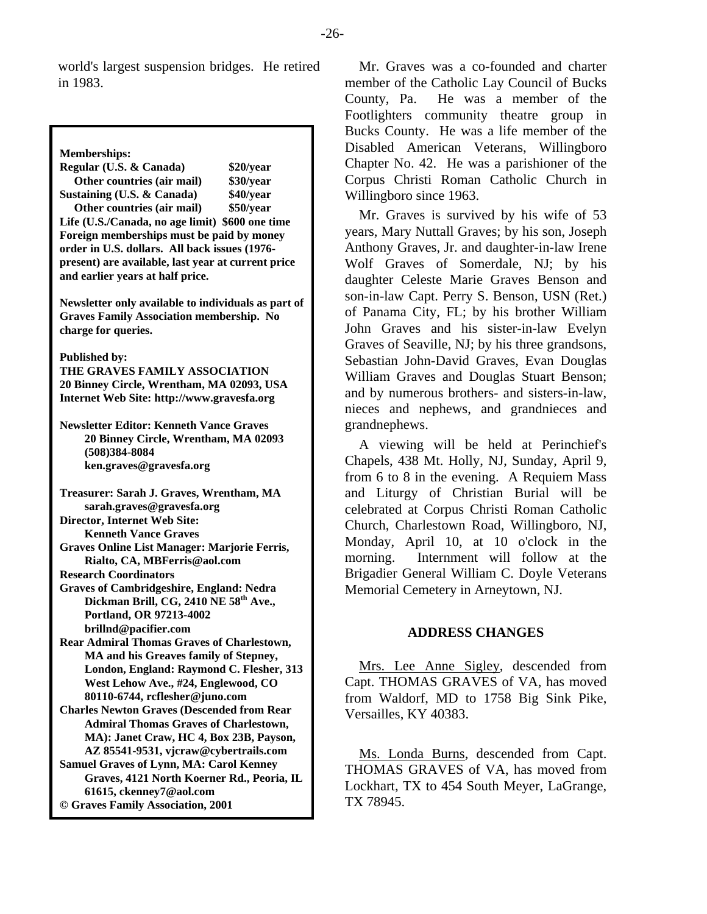world's largest suspension bridges. He retired in 1983.

**Memberships:** 

**Regular (U.S. & Canada) \$20/year Other countries (air mail) \$30/year Sustaining (U.S. & Canada) \$40/year Other countries (air mail) \$50/year Life (U.S./Canada, no age limit) \$600 one time Foreign memberships must be paid by money order in U.S. dollars. All back issues (1976 present) are available, last year at current price and earlier years at half price. Newsletter only available to individuals as part of Graves Family Association membership. No charge for queries. Published by: THE GRAVES FAMILY ASSOCIATION 20 Binney Circle, Wrentham, MA 02093, USA Internet Web Site: http://www.gravesfa.org Newsletter Editor: Kenneth Vance Graves 20 Binney Circle, Wrentham, MA 02093 (508)384-8084 ken.graves@gravesfa.org Treasurer: Sarah J. Graves, Wrentham, MA sarah.graves@gravesfa.org Director, Internet Web Site: Kenneth Vance Graves Graves Online List Manager: Marjorie Ferris, Rialto, CA, MBFerris@aol.com Research Coordinators Graves of Cambridgeshire, England: Nedra**  Dickman Brill, CG, 2410 NE 58<sup>th</sup> Ave., **Portland, OR 97213-4002 brillnd@pacifier.com Rear Admiral Thomas Graves of Charlestown, MA and his Greaves family of Stepney, London, England: Raymond C. Flesher, 313 West Lehow Ave., #24, Englewood, CO 80110-6744, rcflesher@juno.com Charles Newton Graves (Descended from Rear Admiral Thomas Graves of Charlestown, MA): Janet Craw, HC 4, Box 23B, Payson, AZ 85541-9531, vjcraw@cybertrails.com Samuel Graves of Lynn, MA: Carol Kenney Graves, 4121 North Koerner Rd., Peoria, IL 61615, ckenney7@aol.com © Graves Family Association, 2001**

Mr. Graves was a co-founded and charter member of the Catholic Lay Council of Bucks County, Pa. He was a member of the Footlighters community theatre group in Bucks County. He was a life member of the Disabled American Veterans, Willingboro Chapter No. 42. He was a parishioner of the Corpus Christi Roman Catholic Church in Willingboro since 1963.

Mr. Graves is survived by his wife of 53 years, Mary Nuttall Graves; by his son, Joseph Anthony Graves, Jr. and daughter-in-law Irene Wolf Graves of Somerdale, NJ; by his daughter Celeste Marie Graves Benson and son-in-law Capt. Perry S. Benson, USN (Ret.) of Panama City, FL; by his brother William John Graves and his sister-in-law Evelyn Graves of Seaville, NJ; by his three grandsons, Sebastian John-David Graves, Evan Douglas William Graves and Douglas Stuart Benson; and by numerous brothers- and sisters-in-law, nieces and nephews, and grandnieces and grandnephews.

A viewing will be held at Perinchief's Chapels, 438 Mt. Holly, NJ, Sunday, April 9, from 6 to 8 in the evening. A Requiem Mass and Liturgy of Christian Burial will be celebrated at Corpus Christi Roman Catholic Church, Charlestown Road, Willingboro, NJ, Monday, April 10, at 10 o'clock in the morning. Internment will follow at the Brigadier General William C. Doyle Veterans Memorial Cemetery in Arneytown, NJ.

# **ADDRESS CHANGES**

Mrs. Lee Anne Sigley, descended from Capt. THOMAS GRAVES of VA, has moved from Waldorf, MD to 1758 Big Sink Pike, Versailles, KY 40383.

Ms. Londa Burns, descended from Capt. THOMAS GRAVES of VA, has moved from Lockhart, TX to 454 South Meyer, LaGrange, TX 78945.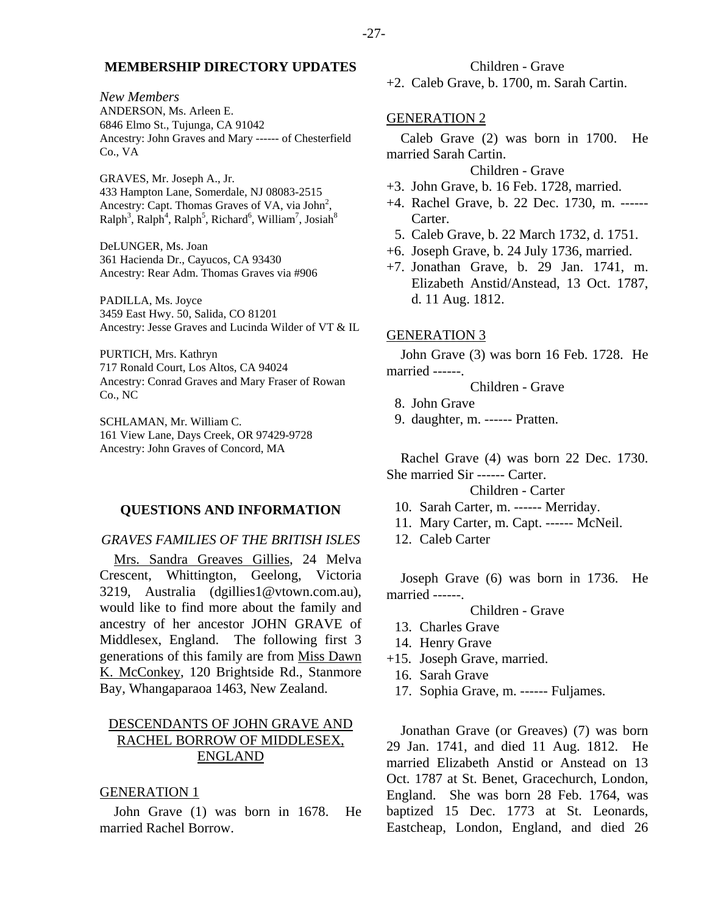*New Members* 

ANDERSON, Ms. Arleen E. 6846 Elmo St., Tujunga, CA 91042 Ancestry: John Graves and Mary ------ of Chesterfield Co., VA

GRAVES, Mr. Joseph A., Jr. 433 Hampton Lane, Somerdale, NJ 08083-2515 Ancestry: Capt. Thomas Graves of VA, via John<sup>2</sup>,  $\text{Ralph}^3$ ,  $\text{Ralph}^4$ ,  $\text{Ralph}^5$ ,  $\text{Richard}^6$ ,  $\text{William}^7$ ,  $\text{Josiah}^8$ 

DeLUNGER, Ms. Joan 361 Hacienda Dr., Cayucos, CA 93430 Ancestry: Rear Adm. Thomas Graves via #906

PADILLA, Ms. Joyce 3459 East Hwy. 50, Salida, CO 81201 Ancestry: Jesse Graves and Lucinda Wilder of VT & IL

PURTICH, Mrs. Kathryn 717 Ronald Court, Los Altos, CA 94024 Ancestry: Conrad Graves and Mary Fraser of Rowan Co., NC

SCHLAMAN, Mr. William C. 161 View Lane, Days Creek, OR 97429-9728 Ancestry: John Graves of Concord, MA

#### **QUESTIONS AND INFORMATION**

#### *GRAVES FAMILIES OF THE BRITISH ISLES*

Mrs. Sandra Greaves Gillies, 24 Melva Crescent, Whittington, Geelong, Victoria 3219, Australia (dgillies1@vtown.com.au), would like to find more about the family and ancestry of her ancestor JOHN GRAVE of Middlesex, England. The following first 3 generations of this family are from Miss Dawn K. McConkey, 120 Brightside Rd., Stanmore Bay, Whangaparaoa 1463, New Zealand.

# DESCENDANTS OF JOHN GRAVE AND RACHEL BORROW OF MIDDLESEX, ENGLAND

#### GENERATION 1

John Grave (1) was born in 1678. He married Rachel Borrow.

Children - Grave

+2. Caleb Grave, b. 1700, m. Sarah Cartin.

#### GENERATION 2

Caleb Grave (2) was born in 1700. He married Sarah Cartin.

### Children - Grave

- +3. John Grave, b. 16 Feb. 1728, married.
- +4. Rachel Grave, b. 22 Dec. 1730, m. ------ Carter.
- 5. Caleb Grave, b. 22 March 1732, d. 1751.
- +6. Joseph Grave, b. 24 July 1736, married.
- +7. Jonathan Grave, b. 29 Jan. 1741, m. Elizabeth Anstid/Anstead, 13 Oct. 1787, d. 11 Aug. 1812.

#### GENERATION 3

John Grave (3) was born 16 Feb. 1728. He married ------.

Children - Grave

- 8. John Grave
- 9. daughter, m. ------ Pratten.

Rachel Grave (4) was born 22 Dec. 1730. She married Sir ------ Carter.

Children - Carter

- 10. Sarah Carter, m. ------ Merriday.
- 11. Mary Carter, m. Capt. ------ McNeil.
- 12. Caleb Carter

Joseph Grave (6) was born in 1736. He married ------.

Children - Grave

- 13. Charles Grave
- 14. Henry Grave
- +15. Joseph Grave, married.
	- 16. Sarah Grave
	- 17. Sophia Grave, m. ------ Fuljames.

Jonathan Grave (or Greaves) (7) was born 29 Jan. 1741, and died 11 Aug. 1812. He married Elizabeth Anstid or Anstead on 13 Oct. 1787 at St. Benet, Gracechurch, London, England. She was born 28 Feb. 1764, was baptized 15 Dec. 1773 at St. Leonards, Eastcheap, London, England, and died 26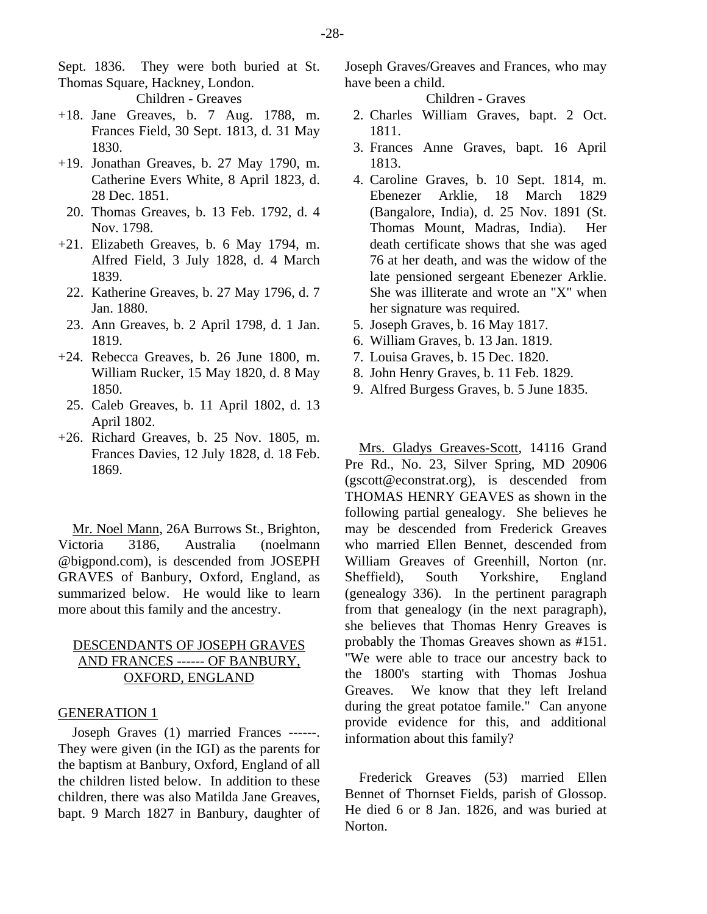Sept. 1836. They were both buried at St. Thomas Square, Hackney, London.

- Children Greaves
- +18. Jane Greaves, b. 7 Aug. 1788, m. Frances Field, 30 Sept. 1813, d. 31 May 1830.
- +19. Jonathan Greaves, b. 27 May 1790, m. Catherine Evers White, 8 April 1823, d. 28 Dec. 1851.
- 20. Thomas Greaves, b. 13 Feb. 1792, d. 4 Nov. 1798.
- +21. Elizabeth Greaves, b. 6 May 1794, m. Alfred Field, 3 July 1828, d. 4 March 1839.
	- 22. Katherine Greaves, b. 27 May 1796, d. 7 Jan. 1880.
- 23. Ann Greaves, b. 2 April 1798, d. 1 Jan. 1819.
- +24. Rebecca Greaves, b. 26 June 1800, m. William Rucker, 15 May 1820, d. 8 May 1850.
- 25. Caleb Greaves, b. 11 April 1802, d. 13 April 1802.
- +26. Richard Greaves, b. 25 Nov. 1805, m. Frances Davies, 12 July 1828, d. 18 Feb. 1869.

Mr. Noel Mann, 26A Burrows St., Brighton, Victoria 3186, Australia (noelmann @bigpond.com), is descended from JOSEPH GRAVES of Banbury, Oxford, England, as summarized below. He would like to learn more about this family and the ancestry.

# DESCENDANTS OF JOSEPH GRAVES AND FRANCES ------ OF BANBURY, OXFORD, ENGLAND

#### GENERATION 1

Joseph Graves (1) married Frances ------. They were given (in the IGI) as the parents for the baptism at Banbury, Oxford, England of all the children listed below. In addition to these children, there was also Matilda Jane Greaves, bapt. 9 March 1827 in Banbury, daughter of Joseph Graves/Greaves and Frances, who may have been a child.

Children - Graves

- 2. Charles William Graves, bapt. 2 Oct. 1811.
- 3. Frances Anne Graves, bapt. 16 April 1813.
- 4. Caroline Graves, b. 10 Sept. 1814, m. Ebenezer Arklie, 18 March 1829 (Bangalore, India), d. 25 Nov. 1891 (St. Thomas Mount, Madras, India). Her death certificate shows that she was aged 76 at her death, and was the widow of the late pensioned sergeant Ebenezer Arklie. She was illiterate and wrote an "X" when her signature was required.
- 5. Joseph Graves, b. 16 May 1817.
- 6. William Graves, b. 13 Jan. 1819.
- 7. Louisa Graves, b. 15 Dec. 1820.
- 8. John Henry Graves, b. 11 Feb. 1829.
- 9. Alfred Burgess Graves, b. 5 June 1835.

Mrs. Gladys Greaves-Scott, 14116 Grand Pre Rd., No. 23, Silver Spring, MD 20906 (gscott@econstrat.org), is descended from THOMAS HENRY GEAVES as shown in the following partial genealogy. She believes he may be descended from Frederick Greaves who married Ellen Bennet, descended from William Greaves of Greenhill, Norton (nr. Sheffield), South Yorkshire, England (genealogy 336). In the pertinent paragraph from that genealogy (in the next paragraph), she believes that Thomas Henry Greaves is probably the Thomas Greaves shown as #151. "We were able to trace our ancestry back to the 1800's starting with Thomas Joshua Greaves. We know that they left Ireland during the great potatoe famile." Can anyone provide evidence for this, and additional information about this family?

Frederick Greaves (53) married Ellen Bennet of Thornset Fields, parish of Glossop. He died 6 or 8 Jan. 1826, and was buried at Norton.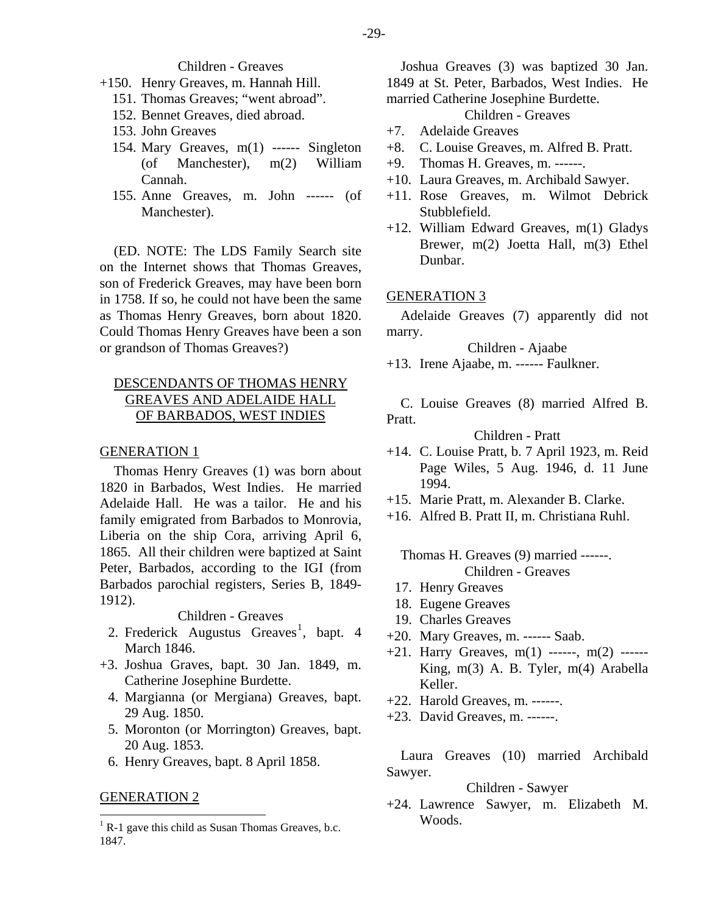#### Children - Greaves

- +150. Henry Greaves, m. Hannah Hill.
	- 151. Thomas Greaves; "went abroad".
	- 152. Bennet Greaves, died abroad.
	- 153. John Greaves
	- 154. Mary Greaves, m(1) ------ Singleton (of Manchester), m(2) William Cannah.
	- 155. Anne Greaves, m. John ------ (of Manchester).

(ED. NOTE: The LDS Family Search site on the Internet shows that Thomas Greaves, son of Frederick Greaves, may have been born in 1758. If so, he could not have been the same as Thomas Henry Greaves, born about 1820. Could Thomas Henry Greaves have been a son or grandson of Thomas Greaves?)

# DESCENDANTS OF THOMAS HENRY GREAVES AND ADELAIDE HALL OF BARBADOS, WEST INDIES

# GENERATION 1

Thomas Henry Greaves (1) was born about 1820 in Barbados, West Indies. He married Adelaide Hall. He was a tailor. He and his family emigrated from Barbados to Monrovia, Liberia on the ship Cora, arriving April 6, 1865. All their children were baptized at Saint Peter, Barbados, according to the IGI (from Barbados parochial registers, Series B, 1849- 1912).

#### Children - Greaves

- 2. Frederick Augustus Greaves<sup>[1](#page-4-0)</sup>, bapt. 4 March 1846.
- +3. Joshua Graves, bapt. 30 Jan. 1849, m. Catherine Josephine Burdette.
	- 4. Margianna (or Mergiana) Greaves, bapt. 29 Aug. 1850.
	- 5. Moronton (or Morrington) Greaves, bapt. 20 Aug. 1853.
	- 6. Henry Greaves, bapt. 8 April 1858.

#### GENERATION 2

Joshua Greaves (3) was baptized 30 Jan. 1849 at St. Peter, Barbados, West Indies. He married Catherine Josephine Burdette.

- Children Greaves
- +7. Adelaide Greaves
- +8. C. Louise Greaves, m. Alfred B. Pratt.
- +9. Thomas H. Greaves, m. ------.
- +10. Laura Greaves, m. Archibald Sawyer.
- +11. Rose Greaves, m. Wilmot Debrick Stubblefield.
- +12. William Edward Greaves, m(1) Gladys Brewer, m(2) Joetta Hall, m(3) Ethel Dunbar.

#### GENERATION 3

Adelaide Greaves (7) apparently did not marry.

Children - Ajaabe

+13. Irene Ajaabe, m. ------ Faulkner.

C. Louise Greaves (8) married Alfred B. Pratt.

Children - Pratt

- +14. C. Louise Pratt, b. 7 April 1923, m. Reid Page Wiles, 5 Aug. 1946, d. 11 June 1994.
- +15. Marie Pratt, m. Alexander B. Clarke.
- +16. Alfred B. Pratt II, m. Christiana Ruhl.

Thomas H. Greaves (9) married ------. Children - Greaves

- 17. Henry Greaves
- 18. Eugene Greaves
- 19. Charles Greaves
- +20. Mary Greaves, m. ------ Saab.
- +21. Harry Greaves, m(1) ------, m(2) ------ King, m(3) A. B. Tyler, m(4) Arabella Keller.
- +22. Harold Greaves, m. ------.
- +23. David Greaves, m. ------.

Laura Greaves (10) married Archibald Sawyer.

#### Children - Sawyer

+24. Lawrence Sawyer, m. Elizabeth M. Woods.

<span id="page-4-0"></span><sup>&</sup>lt;sup>1</sup> R-1 gave this child as Susan Thomas Greaves, b.c. 1847.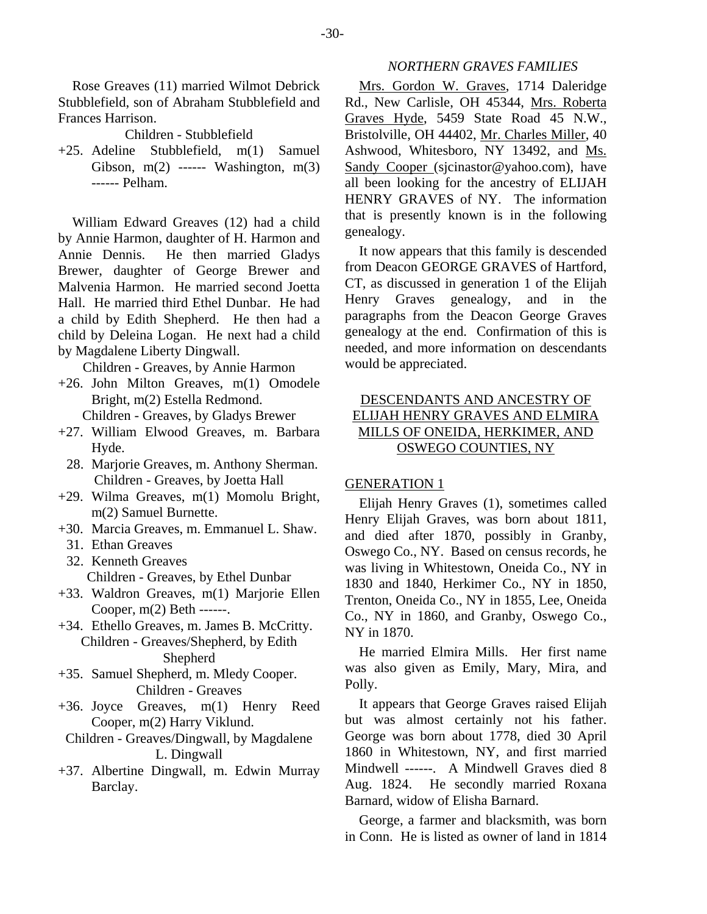Rose Greaves (11) married Wilmot Debrick Stubblefield, son of Abraham Stubblefield and Frances Harrison.

Children - Stubblefield

+25. Adeline Stubblefield, m(1) Samuel Gibson,  $m(2)$  ------ Washington,  $m(3)$ ------ Pelham.

William Edward Greaves (12) had a child by Annie Harmon, daughter of H. Harmon and Annie Dennis. He then married Gladys Brewer, daughter of George Brewer and Malvenia Harmon. He married second Joetta Hall. He married third Ethel Dunbar. He had a child by Edith Shepherd. He then had a child by Deleina Logan. He next had a child by Magdalene Liberty Dingwall.

Children - Greaves, by Annie Harmon

+26. John Milton Greaves, m(1) Omodele Bright, m(2) Estella Redmond.

Children - Greaves, by Gladys Brewer

- +27. William Elwood Greaves, m. Barbara Hyde.
	- 28. Marjorie Greaves, m. Anthony Sherman. Children - Greaves, by Joetta Hall
- +29. Wilma Greaves, m(1) Momolu Bright, m(2) Samuel Burnette.
- +30. Marcia Greaves, m. Emmanuel L. Shaw.
	- 31. Ethan Greaves
	- 32. Kenneth Greaves

Children - Greaves, by Ethel Dunbar

- +33. Waldron Greaves, m(1) Marjorie Ellen Cooper, m(2) Beth ------.
- +34. Ethello Greaves, m. James B. McCritty. Children - Greaves/Shepherd, by Edith Shepherd
- +35. Samuel Shepherd, m. Mledy Cooper. Children - Greaves
- +36. Joyce Greaves, m(1) Henry Reed Cooper, m(2) Harry Viklund.
- Children Greaves/Dingwall, by Magdalene L. Dingwall
- +37. Albertine Dingwall, m. Edwin Murray Barclay.

# *NORTHERN GRAVES FAMILIES*

Mrs. Gordon W. Graves, 1714 Daleridge Rd., New Carlisle, OH 45344, Mrs. Roberta Graves Hyde, 5459 State Road 45 N.W., Bristolville, OH 44402, Mr. Charles Miller, 40 Ashwood, Whitesboro, NY 13492, and Ms. Sandy Cooper (sjcinastor@yahoo.com), have all been looking for the ancestry of ELIJAH HENRY GRAVES of NY. The information that is presently known is in the following genealogy.

It now appears that this family is descended from Deacon GEORGE GRAVES of Hartford, CT, as discussed in generation 1 of the Elijah Henry Graves genealogy, and in the paragraphs from the Deacon George Graves genealogy at the end. Confirmation of this is needed, and more information on descendants would be appreciated.

# DESCENDANTS AND ANCESTRY OF ELIJAH HENRY GRAVES AND ELMIRA MILLS OF ONEIDA, HERKIMER, AND OSWEGO COUNTIES, NY

# GENERATION 1

Elijah Henry Graves (1), sometimes called Henry Elijah Graves, was born about 1811, and died after 1870, possibly in Granby, Oswego Co., NY. Based on census records, he was living in Whitestown, Oneida Co., NY in 1830 and 1840, Herkimer Co., NY in 1850, Trenton, Oneida Co., NY in 1855, Lee, Oneida Co., NY in 1860, and Granby, Oswego Co., NY in 1870.

He married Elmira Mills. Her first name was also given as Emily, Mary, Mira, and Polly.

It appears that George Graves raised Elijah but was almost certainly not his father. George was born about 1778, died 30 April 1860 in Whitestown, NY, and first married Mindwell ------. A Mindwell Graves died 8 Aug. 1824. He secondly married Roxana Barnard, widow of Elisha Barnard.

George, a farmer and blacksmith, was born in Conn. He is listed as owner of land in 1814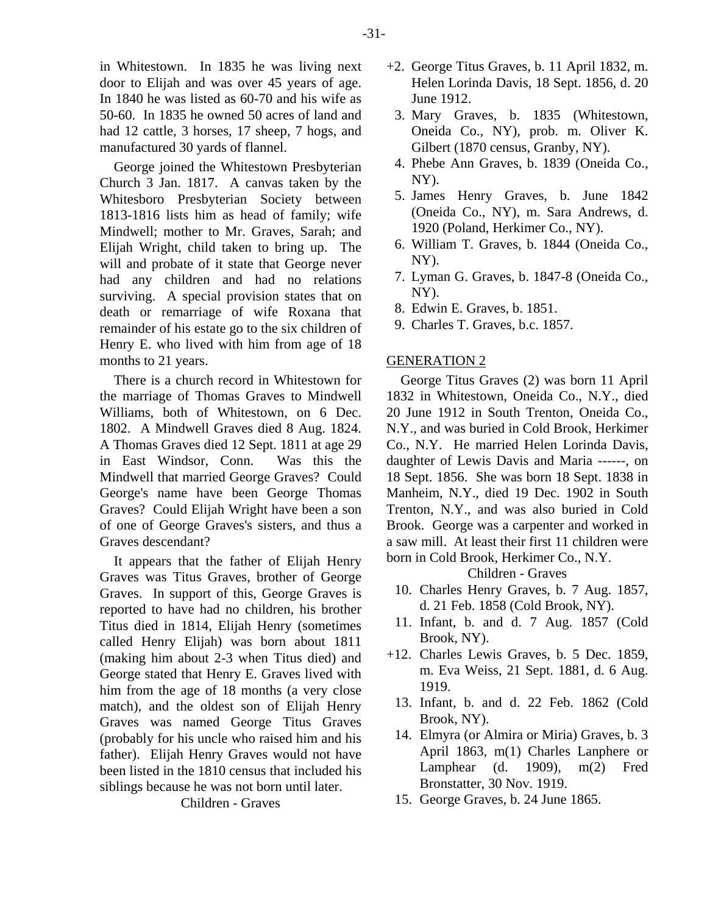in Whitestown. In 1835 he was living next door to Elijah and was over 45 years of age. In 1840 he was listed as 60-70 and his wife as 50-60. In 1835 he owned 50 acres of land and had 12 cattle, 3 horses, 17 sheep, 7 hogs, and manufactured 30 yards of flannel.

George joined the Whitestown Presbyterian Church 3 Jan. 1817. A canvas taken by the Whitesboro Presbyterian Society between 1813-1816 lists him as head of family; wife Mindwell; mother to Mr. Graves, Sarah; and Elijah Wright, child taken to bring up. The will and probate of it state that George never had any children and had no relations surviving. A special provision states that on death or remarriage of wife Roxana that remainder of his estate go to the six children of Henry E. who lived with him from age of 18 months to 21 years.

There is a church record in Whitestown for the marriage of Thomas Graves to Mindwell Williams, both of Whitestown, on 6 Dec. 1802. A Mindwell Graves died 8 Aug. 1824. A Thomas Graves died 12 Sept. 1811 at age 29 in East Windsor, Conn. Was this the Mindwell that married George Graves? Could George's name have been George Thomas Graves? Could Elijah Wright have been a son of one of George Graves's sisters, and thus a Graves descendant?

It appears that the father of Elijah Henry Graves was Titus Graves, brother of George Graves. In support of this, George Graves is reported to have had no children, his brother Titus died in 1814, Elijah Henry (sometimes called Henry Elijah) was born about 1811 (making him about 2-3 when Titus died) and George stated that Henry E. Graves lived with him from the age of 18 months (a very close match), and the oldest son of Elijah Henry Graves was named George Titus Graves (probably for his uncle who raised him and his father). Elijah Henry Graves would not have been listed in the 1810 census that included his siblings because he was not born until later.

Children - Graves

- +2. George Titus Graves, b. 11 April 1832, m. Helen Lorinda Davis, 18 Sept. 1856, d. 20 June 1912.
	- 3. Mary Graves, b. 1835 (Whitestown, Oneida Co., NY), prob. m. Oliver K. Gilbert (1870 census, Granby, NY).
- 4. Phebe Ann Graves, b. 1839 (Oneida Co., NY).
- 5. James Henry Graves, b. June 1842 (Oneida Co., NY), m. Sara Andrews, d. 1920 (Poland, Herkimer Co., NY).
- 6. William T. Graves, b. 1844 (Oneida Co., NY).
- 7. Lyman G. Graves, b. 1847-8 (Oneida Co., NY).
- 8. Edwin E. Graves, b. 1851.
- 9. Charles T. Graves, b.c. 1857.

# GENERATION 2

George Titus Graves (2) was born 11 April 1832 in Whitestown, Oneida Co., N.Y., died 20 June 1912 in South Trenton, Oneida Co., N.Y., and was buried in Cold Brook, Herkimer Co., N.Y. He married Helen Lorinda Davis, daughter of Lewis Davis and Maria ------, on 18 Sept. 1856. She was born 18 Sept. 1838 in Manheim, N.Y., died 19 Dec. 1902 in South Trenton, N.Y., and was also buried in Cold Brook. George was a carpenter and worked in a saw mill. At least their first 11 children were born in Cold Brook, Herkimer Co., N.Y.

# Children - Graves

- 10. Charles Henry Graves, b. 7 Aug. 1857, d. 21 Feb. 1858 (Cold Brook, NY).
- 11. Infant, b. and d. 7 Aug. 1857 (Cold Brook, NY).
- +12. Charles Lewis Graves, b. 5 Dec. 1859, m. Eva Weiss, 21 Sept. 1881, d. 6 Aug. 1919.
- 13. Infant, b. and d. 22 Feb. 1862 (Cold Brook, NY).
- 14. Elmyra (or Almira or Miria) Graves, b. 3 April 1863, m(1) Charles Lanphere or Lamphear (d. 1909), m(2) Fred Bronstatter, 30 Nov. 1919.
- 15. George Graves, b. 24 June 1865.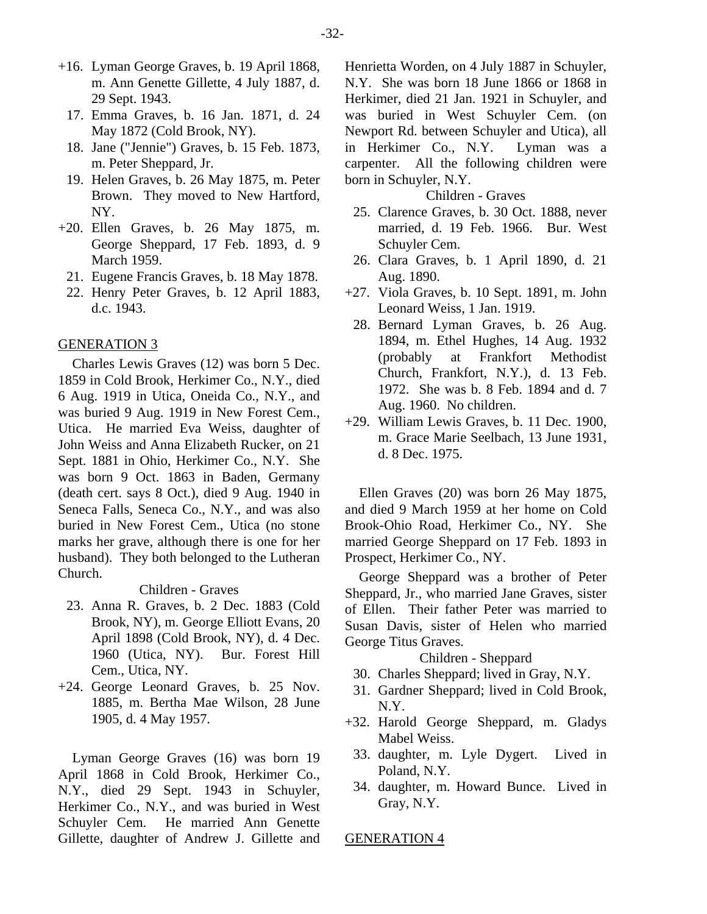- +16. Lyman George Graves, b. 19 April 1868, m. Ann Genette Gillette, 4 July 1887, d. 29 Sept. 1943.
	- 17. Emma Graves, b. 16 Jan. 1871, d. 24 May 1872 (Cold Brook, NY).
	- 18. Jane ("Jennie") Graves, b. 15 Feb. 1873, m. Peter Sheppard, Jr.
	- 19. Helen Graves, b. 26 May 1875, m. Peter Brown. They moved to New Hartford, NY.
- +20. Ellen Graves, b. 26 May 1875, m. George Sheppard, 17 Feb. 1893, d. 9 March 1959.
	- 21. Eugene Francis Graves, b. 18 May 1878.
	- 22. Henry Peter Graves, b. 12 April 1883, d.c. 1943.

#### GENERATION 3

Charles Lewis Graves (12) was born 5 Dec. 1859 in Cold Brook, Herkimer Co., N.Y., died 6 Aug. 1919 in Utica, Oneida Co., N.Y., and was buried 9 Aug. 1919 in New Forest Cem., Utica. He married Eva Weiss, daughter of John Weiss and Anna Elizabeth Rucker, on 21 Sept. 1881 in Ohio, Herkimer Co., N.Y. She was born 9 Oct. 1863 in Baden, Germany (death cert. says 8 Oct.), died 9 Aug. 1940 in Seneca Falls, Seneca Co., N.Y., and was also buried in New Forest Cem., Utica (no stone marks her grave, although there is one for her husband). They both belonged to the Lutheran Church.

Children - Graves

- 23. Anna R. Graves, b. 2 Dec. 1883 (Cold Brook, NY), m. George Elliott Evans, 20 April 1898 (Cold Brook, NY), d. 4 Dec. 1960 (Utica, NY). Bur. Forest Hill Cem., Utica, NY.
- +24. George Leonard Graves, b. 25 Nov. 1885, m. Bertha Mae Wilson, 28 June 1905, d. 4 May 1957.

Lyman George Graves (16) was born 19 April 1868 in Cold Brook, Herkimer Co., N.Y., died 29 Sept. 1943 in Schuyler, Herkimer Co., N.Y., and was buried in West Schuyler Cem. He married Ann Genette Gillette, daughter of Andrew J. Gillette and

Henrietta Worden, on 4 July 1887 in Schuyler, N.Y. She was born 18 June 1866 or 1868 in Herkimer, died 21 Jan. 1921 in Schuyler, and was buried in West Schuyler Cem. (on Newport Rd. between Schuyler and Utica), all in Herkimer Co., N.Y. Lyman was a carpenter. All the following children were born in Schuyler, N.Y.

#### Children - Graves

- 25. Clarence Graves, b. 30 Oct. 1888, never married, d. 19 Feb. 1966. Bur. West Schuyler Cem.
- 26. Clara Graves, b. 1 April 1890, d. 21 Aug. 1890.
- +27. Viola Graves, b. 10 Sept. 1891, m. John Leonard Weiss, 1 Jan. 1919.
- 28. Bernard Lyman Graves, b. 26 Aug. 1894, m. Ethel Hughes, 14 Aug. 1932 (probably at Frankfort Methodist Church, Frankfort, N.Y.), d. 13 Feb. 1972. She was b. 8 Feb. 1894 and d. 7 Aug. 1960. No children.
- +29. William Lewis Graves, b. 11 Dec. 1900, m. Grace Marie Seelbach, 13 June 1931, d. 8 Dec. 1975.

Ellen Graves (20) was born 26 May 1875, and died 9 March 1959 at her home on Cold Brook-Ohio Road, Herkimer Co., NY. She married George Sheppard on 17 Feb. 1893 in Prospect, Herkimer Co., NY.

George Sheppard was a brother of Peter Sheppard, Jr., who married Jane Graves, sister of Ellen. Their father Peter was married to Susan Davis, sister of Helen who married George Titus Graves.

### Children - Sheppard

- 30. Charles Sheppard; lived in Gray, N.Y.
- 31. Gardner Sheppard; lived in Cold Brook, N.Y.
- +32. Harold George Sheppard, m. Gladys Mabel Weiss.
	- 33. daughter, m. Lyle Dygert. Lived in Poland, N.Y.
	- 34. daughter, m. Howard Bunce. Lived in Gray, N.Y.

#### GENERATION 4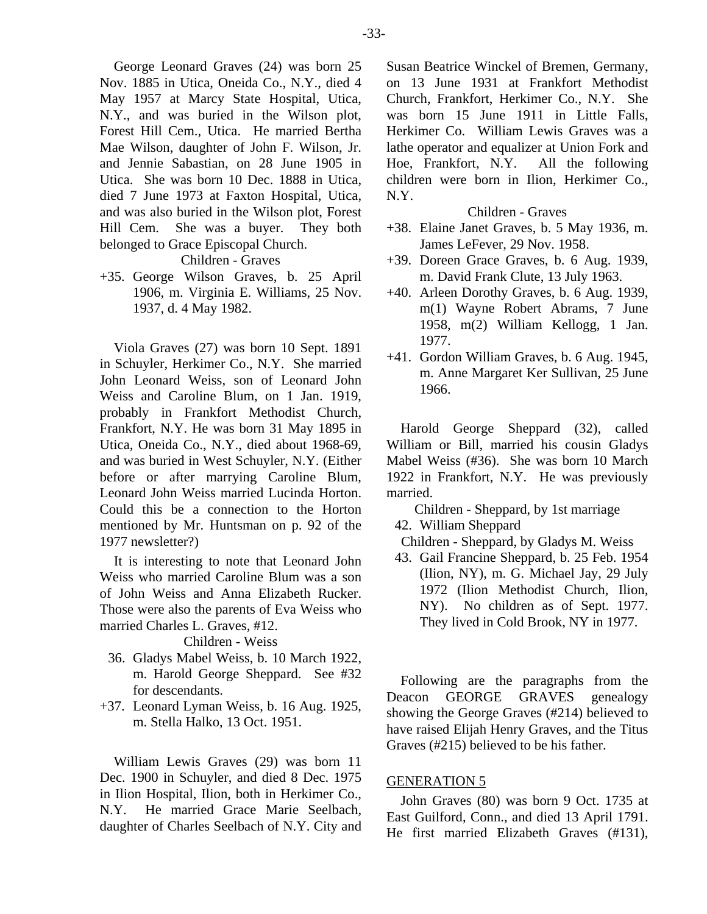George Leonard Graves (24) was born 25 Nov. 1885 in Utica, Oneida Co., N.Y., died 4 May 1957 at Marcy State Hospital, Utica, N.Y., and was buried in the Wilson plot, Forest Hill Cem., Utica. He married Bertha Mae Wilson, daughter of John F. Wilson, Jr. and Jennie Sabastian, on 28 June 1905 in Utica. She was born 10 Dec. 1888 in Utica, died 7 June 1973 at Faxton Hospital, Utica, and was also buried in the Wilson plot, Forest Hill Cem. She was a buyer. They both belonged to Grace Episcopal Church.

Children - Graves

+35. George Wilson Graves, b. 25 April 1906, m. Virginia E. Williams, 25 Nov. 1937, d. 4 May 1982.

Viola Graves (27) was born 10 Sept. 1891 in Schuyler, Herkimer Co., N.Y. She married John Leonard Weiss, son of Leonard John Weiss and Caroline Blum, on 1 Jan. 1919, probably in Frankfort Methodist Church, Frankfort, N.Y. He was born 31 May 1895 in Utica, Oneida Co., N.Y., died about 1968-69, and was buried in West Schuyler, N.Y. (Either before or after marrying Caroline Blum, Leonard John Weiss married Lucinda Horton. Could this be a connection to the Horton mentioned by Mr. Huntsman on p. 92 of the 1977 newsletter?)

It is interesting to note that Leonard John Weiss who married Caroline Blum was a son of John Weiss and Anna Elizabeth Rucker. Those were also the parents of Eva Weiss who married Charles L. Graves, #12.

# Children - Weiss

- 36. Gladys Mabel Weiss, b. 10 March 1922, m. Harold George Sheppard. See #32 for descendants.
- +37. Leonard Lyman Weiss, b. 16 Aug. 1925, m. Stella Halko, 13 Oct. 1951.

William Lewis Graves (29) was born 11 Dec. 1900 in Schuyler, and died 8 Dec. 1975 in Ilion Hospital, Ilion, both in Herkimer Co., N.Y. He married Grace Marie Seelbach, daughter of Charles Seelbach of N.Y. City and Susan Beatrice Winckel of Bremen, Germany, on 13 June 1931 at Frankfort Methodist Church, Frankfort, Herkimer Co., N.Y. She was born 15 June 1911 in Little Falls, Herkimer Co. William Lewis Graves was a lathe operator and equalizer at Union Fork and Hoe, Frankfort, N.Y. All the following children were born in Ilion, Herkimer Co., N.Y.

#### Children - Graves

- +38. Elaine Janet Graves, b. 5 May 1936, m. James LeFever, 29 Nov. 1958.
- +39. Doreen Grace Graves, b. 6 Aug. 1939, m. David Frank Clute, 13 July 1963.
- +40. Arleen Dorothy Graves, b. 6 Aug. 1939, m(1) Wayne Robert Abrams, 7 June 1958, m(2) William Kellogg, 1 Jan. 1977.
- +41. Gordon William Graves, b. 6 Aug. 1945, m. Anne Margaret Ker Sullivan, 25 June 1966.

Harold George Sheppard (32), called William or Bill, married his cousin Gladys Mabel Weiss (#36). She was born 10 March 1922 in Frankfort, N.Y. He was previously married.

Children - Sheppard, by 1st marriage

42. William Sheppard

Children - Sheppard, by Gladys M. Weiss

 43. Gail Francine Sheppard, b. 25 Feb. 1954 (Ilion, NY), m. G. Michael Jay, 29 July 1972 (Ilion Methodist Church, Ilion, NY). No children as of Sept. 1977. They lived in Cold Brook, NY in 1977.

Following are the paragraphs from the Deacon GEORGE GRAVES genealogy showing the George Graves (#214) believed to have raised Elijah Henry Graves, and the Titus Graves (#215) believed to be his father.

#### GENERATION 5

John Graves (80) was born 9 Oct. 1735 at East Guilford, Conn., and died 13 April 1791. He first married Elizabeth Graves (#131),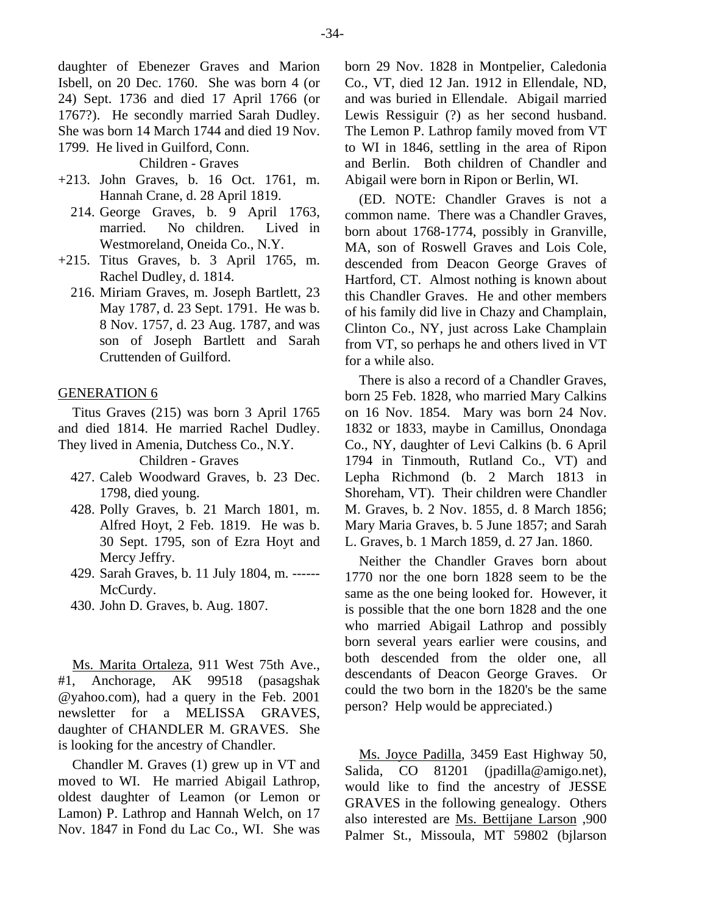daughter of Ebenezer Graves and Marion Isbell, on 20 Dec. 1760. She was born 4 (or 24) Sept. 1736 and died 17 April 1766 (or 1767?). He secondly married Sarah Dudley. She was born 14 March 1744 and died 19 Nov. 1799. He lived in Guilford, Conn.

Children - Graves

- +213. John Graves, b. 16 Oct. 1761, m. Hannah Crane, d. 28 April 1819.
	- 214. George Graves, b. 9 April 1763, married. No children. Lived in Westmoreland, Oneida Co., N.Y.
- +215. Titus Graves, b. 3 April 1765, m. Rachel Dudley, d. 1814.
	- 216. Miriam Graves, m. Joseph Bartlett, 23 May 1787, d. 23 Sept. 1791. He was b. 8 Nov. 1757, d. 23 Aug. 1787, and was son of Joseph Bartlett and Sarah Cruttenden of Guilford.

### GENERATION 6

Titus Graves (215) was born 3 April 1765 and died 1814. He married Rachel Dudley. They lived in Amenia, Dutchess Co., N.Y.

Children - Graves

- 427. Caleb Woodward Graves, b. 23 Dec. 1798, died young.
- 428. Polly Graves, b. 21 March 1801, m. Alfred Hoyt, 2 Feb. 1819. He was b. 30 Sept. 1795, son of Ezra Hoyt and Mercy Jeffry.
- 429. Sarah Graves, b. 11 July 1804, m. ------ McCurdy.
- 430. John D. Graves, b. Aug. 1807.

Ms. Marita Ortaleza, 911 West 75th Ave., #1, Anchorage, AK 99518 (pasagshak @yahoo.com), had a query in the Feb. 2001 newsletter for a MELISSA GRAVES, daughter of CHANDLER M. GRAVES. She is looking for the ancestry of Chandler.

Chandler M. Graves (1) grew up in VT and moved to WI. He married Abigail Lathrop, oldest daughter of Leamon (or Lemon or Lamon) P. Lathrop and Hannah Welch, on 17 Nov. 1847 in Fond du Lac Co., WI. She was

born 29 Nov. 1828 in Montpelier, Caledonia Co., VT, died 12 Jan. 1912 in Ellendale, ND, and was buried in Ellendale. Abigail married Lewis Ressiguir (?) as her second husband. The Lemon P. Lathrop family moved from VT to WI in 1846, settling in the area of Ripon and Berlin. Both children of Chandler and Abigail were born in Ripon or Berlin, WI.

(ED. NOTE: Chandler Graves is not a common name. There was a Chandler Graves, born about 1768-1774, possibly in Granville, MA, son of Roswell Graves and Lois Cole, descended from Deacon George Graves of Hartford, CT. Almost nothing is known about this Chandler Graves. He and other members of his family did live in Chazy and Champlain, Clinton Co., NY, just across Lake Champlain from VT, so perhaps he and others lived in VT for a while also.

There is also a record of a Chandler Graves, born 25 Feb. 1828, who married Mary Calkins on 16 Nov. 1854. Mary was born 24 Nov. 1832 or 1833, maybe in Camillus, Onondaga Co., NY, daughter of Levi Calkins (b. 6 April 1794 in Tinmouth, Rutland Co., VT) and Lepha Richmond (b. 2 March 1813 in Shoreham, VT). Their children were Chandler M. Graves, b. 2 Nov. 1855, d. 8 March 1856; Mary Maria Graves, b. 5 June 1857; and Sarah L. Graves, b. 1 March 1859, d. 27 Jan. 1860.

Neither the Chandler Graves born about 1770 nor the one born 1828 seem to be the same as the one being looked for. However, it is possible that the one born 1828 and the one who married Abigail Lathrop and possibly born several years earlier were cousins, and both descended from the older one, all descendants of Deacon George Graves. Or could the two born in the 1820's be the same person? Help would be appreciated.)

Ms. Joyce Padilla, 3459 East Highway 50, Salida, CO 81201 (jpadilla@amigo.net), would like to find the ancestry of JESSE GRAVES in the following genealogy. Others also interested are Ms. Bettijane Larson ,900 Palmer St., Missoula, MT 59802 (bjlarson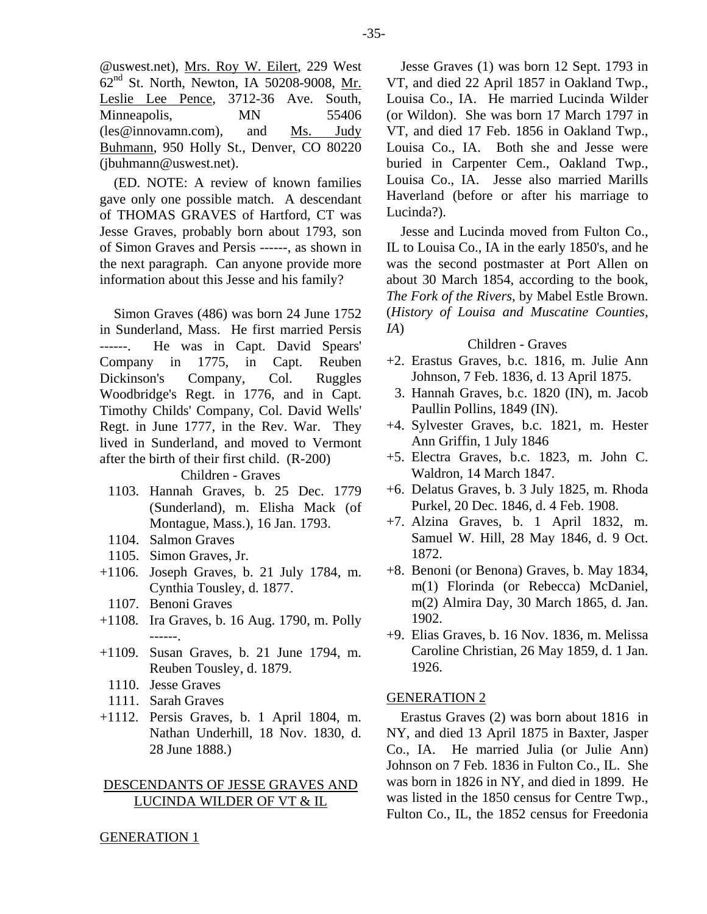@uswest.net), Mrs. Roy W. Eilert, 229 West 62nd St. North, Newton, IA 50208-9008, Mr. Leslie Lee Pence, 3712-36 Ave. South, Minneapolis, MN 55406 (les@innovamn.com), and Ms. Judy Buhmann, 950 Holly St., Denver, CO 80220 (jbuhmann@uswest.net).

(ED. NOTE: A review of known families gave only one possible match. A descendant of THOMAS GRAVES of Hartford, CT was Jesse Graves, probably born about 1793, son of Simon Graves and Persis ------, as shown in the next paragraph. Can anyone provide more information about this Jesse and his family?

Simon Graves (486) was born 24 June 1752 in Sunderland, Mass. He first married Persis ------. He was in Capt. David Spears' Company in 1775, in Capt. Reuben Dickinson's Company, Col. Ruggles Woodbridge's Regt. in 1776, and in Capt. Timothy Childs' Company, Col. David Wells' Regt. in June 1777, in the Rev. War. They lived in Sunderland, and moved to Vermont after the birth of their first child. (R-200) Children - Graves

- 1103. Hannah Graves, b. 25 Dec. 1779 (Sunderland), m. Elisha Mack (of Montague, Mass.), 16 Jan. 1793.
- 1104. Salmon Graves
- 1105. Simon Graves, Jr.
- +1106. Joseph Graves, b. 21 July 1784, m. Cynthia Tousley, d. 1877.
- 1107. Benoni Graves
- +1108. Ira Graves, b. 16 Aug. 1790, m. Polly ------.
- +1109. Susan Graves, b. 21 June 1794, m. Reuben Tousley, d. 1879.
	- 1110. Jesse Graves
	- 1111. Sarah Graves
- +1112. Persis Graves, b. 1 April 1804, m. Nathan Underhill, 18 Nov. 1830, d. 28 June 1888.)

# DESCENDANTS OF JESSE GRAVES AND LUCINDA WILDER OF VT & IL

Jesse Graves (1) was born 12 Sept. 1793 in VT, and died 22 April 1857 in Oakland Twp., Louisa Co., IA. He married Lucinda Wilder (or Wildon). She was born 17 March 1797 in VT, and died 17 Feb. 1856 in Oakland Twp., Louisa Co., IA. Both she and Jesse were buried in Carpenter Cem., Oakland Twp., Louisa Co., IA. Jesse also married Marills Haverland (before or after his marriage to Lucinda?).

Jesse and Lucinda moved from Fulton Co., IL to Louisa Co., IA in the early 1850's, and he was the second postmaster at Port Allen on about 30 March 1854, according to the book, *The Fork of the Rivers*, by Mabel Estle Brown. (*History of Louisa and Muscatine Counties, IA*)

Children - Graves

- +2. Erastus Graves, b.c. 1816, m. Julie Ann Johnson, 7 Feb. 1836, d. 13 April 1875.
- 3. Hannah Graves, b.c. 1820 (IN), m. Jacob Paullin Pollins, 1849 (IN).
- +4. Sylvester Graves, b.c. 1821, m. Hester Ann Griffin, 1 July 1846
- +5. Electra Graves, b.c. 1823, m. John C. Waldron, 14 March 1847.
- +6. Delatus Graves, b. 3 July 1825, m. Rhoda Purkel, 20 Dec. 1846, d. 4 Feb. 1908.
- +7. Alzina Graves, b. 1 April 1832, m. Samuel W. Hill, 28 May 1846, d. 9 Oct. 1872.
- +8. Benoni (or Benona) Graves, b. May 1834, m(1) Florinda (or Rebecca) McDaniel, m(2) Almira Day, 30 March 1865, d. Jan. 1902.
- +9. Elias Graves, b. 16 Nov. 1836, m. Melissa Caroline Christian, 26 May 1859, d. 1 Jan. 1926.

#### GENERATION 2

Erastus Graves (2) was born about 1816 in NY, and died 13 April 1875 in Baxter, Jasper Co., IA. He married Julia (or Julie Ann) Johnson on 7 Feb. 1836 in Fulton Co., IL. She was born in 1826 in NY, and died in 1899. He was listed in the 1850 census for Centre Twp., Fulton Co., IL, the 1852 census for Freedonia

# GENERATION 1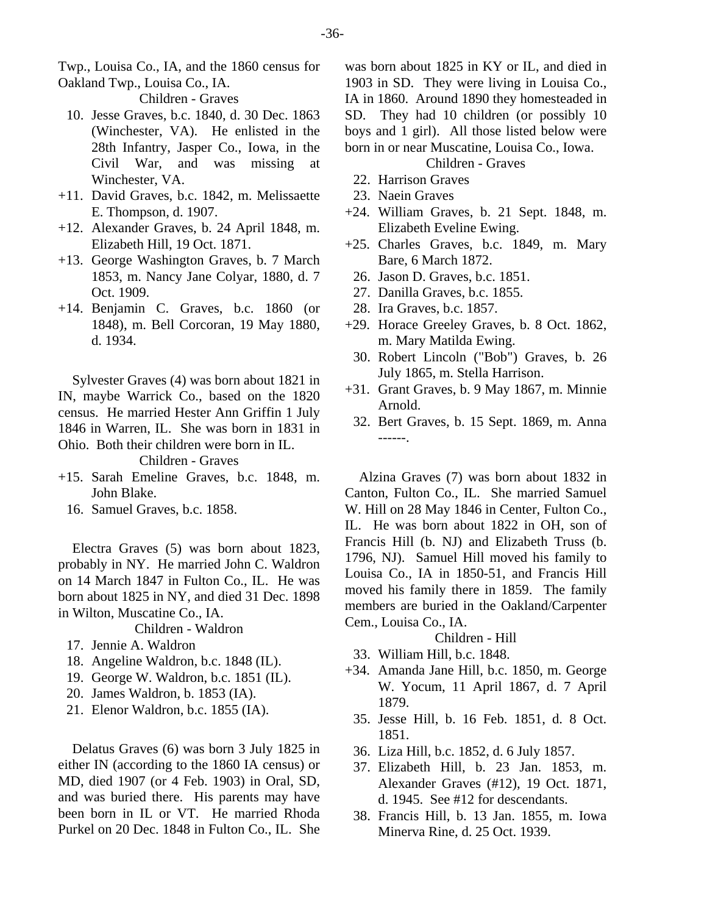Twp., Louisa Co., IA, and the 1860 census for Oakland Twp., Louisa Co., IA.

Children - Graves

- 10. Jesse Graves, b.c. 1840, d. 30 Dec. 1863 (Winchester, VA). He enlisted in the 28th Infantry, Jasper Co., Iowa, in the Civil War, and was missing at Winchester, VA.
- +11. David Graves, b.c. 1842, m. Melissaette E. Thompson, d. 1907.
- +12. Alexander Graves, b. 24 April 1848, m. Elizabeth Hill, 19 Oct. 1871.
- +13. George Washington Graves, b. 7 March 1853, m. Nancy Jane Colyar, 1880, d. 7 Oct. 1909.
- +14. Benjamin C. Graves, b.c. 1860 (or 1848), m. Bell Corcoran, 19 May 1880, d. 1934.

Sylvester Graves (4) was born about 1821 in IN, maybe Warrick Co., based on the 1820 census. He married Hester Ann Griffin 1 July 1846 in Warren, IL. She was born in 1831 in Ohio. Both their children were born in IL.

Children - Graves

- +15. Sarah Emeline Graves, b.c. 1848, m. John Blake.
	- 16. Samuel Graves, b.c. 1858.

Electra Graves (5) was born about 1823, probably in NY. He married John C. Waldron on 14 March 1847 in Fulton Co., IL. He was born about 1825 in NY, and died 31 Dec. 1898 in Wilton, Muscatine Co., IA.

Children - Waldron

- 17. Jennie A. Waldron
- 18. Angeline Waldron, b.c. 1848 (IL).
- 19. George W. Waldron, b.c. 1851 (IL).
- 20. James Waldron, b. 1853 (IA).
- 21. Elenor Waldron, b.c. 1855 (IA).

Delatus Graves (6) was born 3 July 1825 in either IN (according to the 1860 IA census) or MD, died 1907 (or 4 Feb. 1903) in Oral, SD, and was buried there. His parents may have been born in IL or VT. He married Rhoda Purkel on 20 Dec. 1848 in Fulton Co., IL. She

was born about 1825 in KY or IL, and died in 1903 in SD. They were living in Louisa Co., IA in 1860. Around 1890 they homesteaded in SD. They had 10 children (or possibly 10 boys and 1 girl). All those listed below were born in or near Muscatine, Louisa Co., Iowa.

# Children - Graves

- 22. Harrison Graves
- 23. Naein Graves
- +24. William Graves, b. 21 Sept. 1848, m. Elizabeth Eveline Ewing.
- +25. Charles Graves, b.c. 1849, m. Mary Bare, 6 March 1872.
	- 26. Jason D. Graves, b.c. 1851.
	- 27. Danilla Graves, b.c. 1855.
- 28. Ira Graves, b.c. 1857.
- +29. Horace Greeley Graves, b. 8 Oct. 1862, m. Mary Matilda Ewing.
	- 30. Robert Lincoln ("Bob") Graves, b. 26 July 1865, m. Stella Harrison.
- +31. Grant Graves, b. 9 May 1867, m. Minnie Arnold.
- 32. Bert Graves, b. 15 Sept. 1869, m. Anna ------.

Alzina Graves (7) was born about 1832 in Canton, Fulton Co., IL. She married Samuel W. Hill on 28 May 1846 in Center, Fulton Co., IL. He was born about 1822 in OH, son of Francis Hill (b. NJ) and Elizabeth Truss (b. 1796, NJ). Samuel Hill moved his family to Louisa Co., IA in 1850-51, and Francis Hill moved his family there in 1859. The family members are buried in the Oakland/Carpenter Cem., Louisa Co., IA.

#### Children - Hill

- 33. William Hill, b.c. 1848.
- +34. Amanda Jane Hill, b.c. 1850, m. George W. Yocum, 11 April 1867, d. 7 April 1879.
	- 35. Jesse Hill, b. 16 Feb. 1851, d. 8 Oct. 1851.
	- 36. Liza Hill, b.c. 1852, d. 6 July 1857.
	- 37. Elizabeth Hill, b. 23 Jan. 1853, m. Alexander Graves (#12), 19 Oct. 1871, d. 1945. See #12 for descendants.
	- 38. Francis Hill, b. 13 Jan. 1855, m. Iowa Minerva Rine, d. 25 Oct. 1939.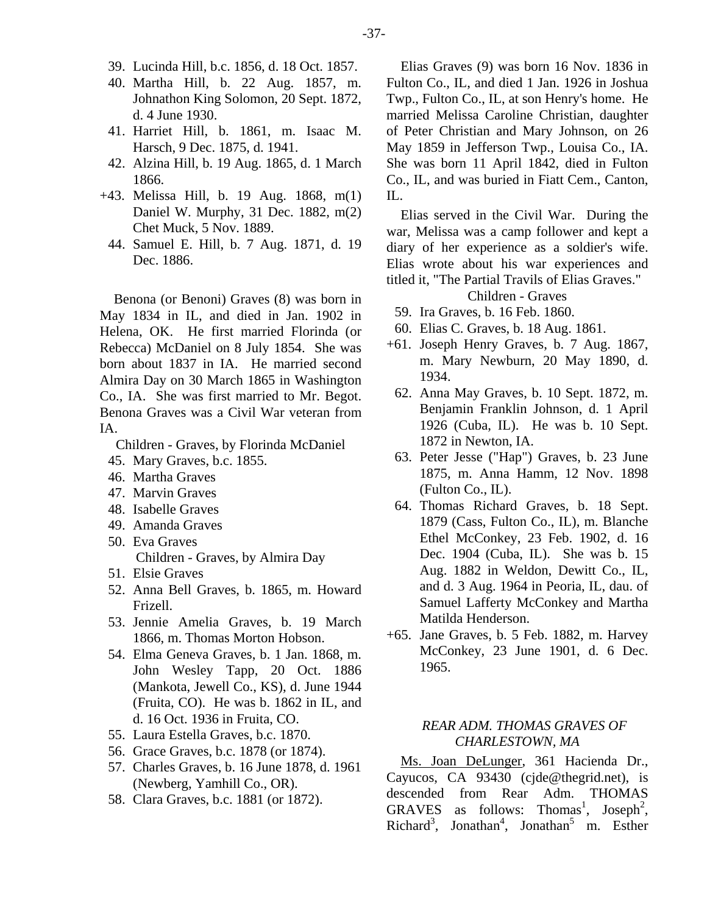- 39. Lucinda Hill, b.c. 1856, d. 18 Oct. 1857.
- 40. Martha Hill, b. 22 Aug. 1857, m. Johnathon King Solomon, 20 Sept. 1872, d. 4 June 1930.
- 41. Harriet Hill, b. 1861, m. Isaac M. Harsch, 9 Dec. 1875, d. 1941.
- 42. Alzina Hill, b. 19 Aug. 1865, d. 1 March 1866.
- +43. Melissa Hill, b. 19 Aug. 1868, m(1) Daniel W. Murphy, 31 Dec. 1882, m(2) Chet Muck, 5 Nov. 1889.
	- 44. Samuel E. Hill, b. 7 Aug. 1871, d. 19 Dec. 1886.

Benona (or Benoni) Graves (8) was born in May 1834 in IL, and died in Jan. 1902 in Helena, OK. He first married Florinda (or Rebecca) McDaniel on 8 July 1854. She was born about 1837 in IA. He married second Almira Day on 30 March 1865 in Washington Co., IA. She was first married to Mr. Begot. Benona Graves was a Civil War veteran from IA.

Children - Graves, by Florinda McDaniel

- 45. Mary Graves, b.c. 1855.
- 46. Martha Graves
- 47. Marvin Graves
- 48. Isabelle Graves
- 49. Amanda Graves
- 50. Eva Graves Children - Graves, by Almira Day
- 51. Elsie Graves
- 52. Anna Bell Graves, b. 1865, m. Howard Frizell.
- 53. Jennie Amelia Graves, b. 19 March 1866, m. Thomas Morton Hobson.
- 54. Elma Geneva Graves, b. 1 Jan. 1868, m. John Wesley Tapp, 20 Oct. 1886 (Mankota, Jewell Co., KS), d. June 1944 (Fruita, CO). He was b. 1862 in IL, and d. 16 Oct. 1936 in Fruita, CO.
- 55. Laura Estella Graves, b.c. 1870.
- 56. Grace Graves, b.c. 1878 (or 1874).
- 57. Charles Graves, b. 16 June 1878, d. 1961 (Newberg, Yamhill Co., OR).
- 58. Clara Graves, b.c. 1881 (or 1872).

Elias Graves (9) was born 16 Nov. 1836 in Fulton Co., IL, and died 1 Jan. 1926 in Joshua Twp., Fulton Co., IL, at son Henry's home. He married Melissa Caroline Christian, daughter of Peter Christian and Mary Johnson, on 26 May 1859 in Jefferson Twp., Louisa Co., IA. She was born 11 April 1842, died in Fulton Co., IL, and was buried in Fiatt Cem., Canton, IL.

Elias served in the Civil War. During the war, Melissa was a camp follower and kept a diary of her experience as a soldier's wife. Elias wrote about his war experiences and titled it, "The Partial Travils of Elias Graves."

Children - Graves

- 59. Ira Graves, b. 16 Feb. 1860.
- 60. Elias C. Graves, b. 18 Aug. 1861.
- +61. Joseph Henry Graves, b. 7 Aug. 1867, m. Mary Newburn, 20 May 1890, d. 1934.
- 62. Anna May Graves, b. 10 Sept. 1872, m. Benjamin Franklin Johnson, d. 1 April 1926 (Cuba, IL). He was b. 10 Sept. 1872 in Newton, IA.
- 63. Peter Jesse ("Hap") Graves, b. 23 June 1875, m. Anna Hamm, 12 Nov. 1898 (Fulton Co., IL).
- 64. Thomas Richard Graves, b. 18 Sept. 1879 (Cass, Fulton Co., IL), m. Blanche Ethel McConkey, 23 Feb. 1902, d. 16 Dec. 1904 (Cuba, IL). She was b. 15 Aug. 1882 in Weldon, Dewitt Co., IL, and d. 3 Aug. 1964 in Peoria, IL, dau. of Samuel Lafferty McConkey and Martha Matilda Henderson.
- +65. Jane Graves, b. 5 Feb. 1882, m. Harvey McConkey, 23 June 1901, d. 6 Dec. 1965.

# *REAR ADM. THOMAS GRAVES OF CHARLESTOWN, MA*

Ms. Joan DeLunger, 361 Hacienda Dr., Cayucos, CA 93430 (cjde@thegrid.net), is descended from Rear Adm. THOMAS GRAVES as follows: Thomas<sup>1</sup>, Joseph<sup>2</sup>,  $Richard<sup>3</sup>$ , Jonathan<sup>4</sup>, Jonathan<sup>5</sup> m. Esther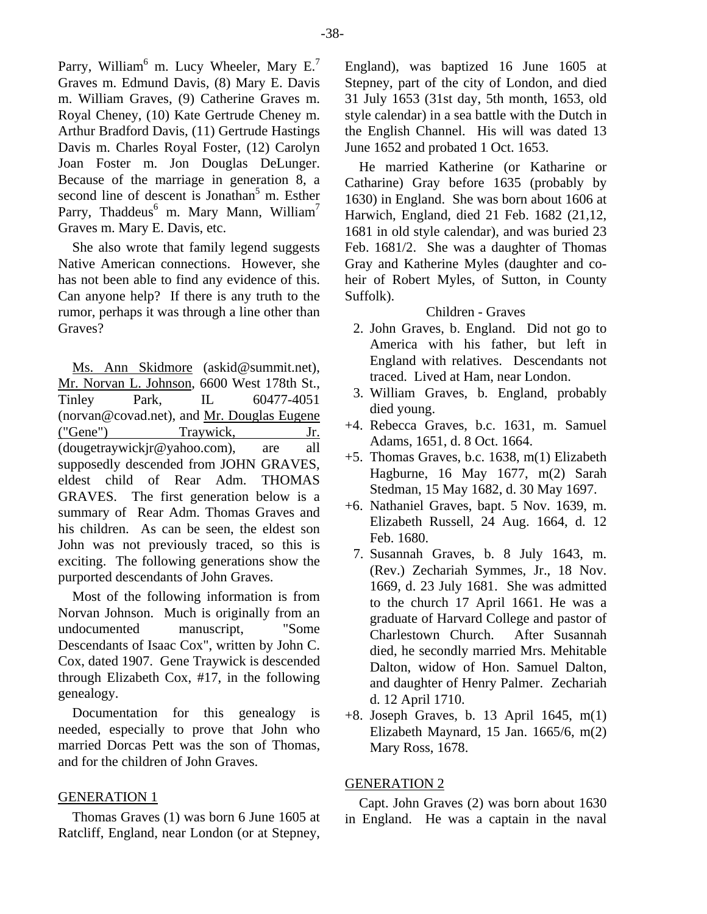Parry, William<sup>6</sup> m. Lucy Wheeler, Mary E.<sup>7</sup> Graves m. Edmund Davis, (8) Mary E. Davis m. William Graves, (9) Catherine Graves m. Royal Cheney, (10) Kate Gertrude Cheney m. Arthur Bradford Davis, (11) Gertrude Hastings Davis m. Charles Royal Foster, (12) Carolyn Joan Foster m. Jon Douglas DeLunger. Because of the marriage in generation 8, a second line of descent is Jonathan<sup>5</sup> m. Esther Parry, Thaddeus<sup>6</sup> m. Mary Mann, William<sup>7</sup> Graves m. Mary E. Davis, etc.

She also wrote that family legend suggests Native American connections. However, she has not been able to find any evidence of this. Can anyone help? If there is any truth to the rumor, perhaps it was through a line other than Graves?

Ms. Ann Skidmore (askid@summit.net), Mr. Norvan L. Johnson, 6600 West 178th St., Tinley Park, IL 60477-4051 (norvan@covad.net), and Mr. Douglas Eugene ("Gene") Traywick, Jr. (dougetraywickjr@yahoo.com), are all supposedly descended from JOHN GRAVES, eldest child of Rear Adm. THOMAS GRAVES. The first generation below is a summary of Rear Adm. Thomas Graves and his children. As can be seen, the eldest son John was not previously traced, so this is exciting. The following generations show the purported descendants of John Graves.

Most of the following information is from Norvan Johnson. Much is originally from an undocumented manuscript, "Some Descendants of Isaac Cox", written by John C. Cox, dated 1907. Gene Traywick is descended through Elizabeth Cox, #17, in the following genealogy.

Documentation for this genealogy is needed, especially to prove that John who married Dorcas Pett was the son of Thomas, and for the children of John Graves.

#### GENERATION 1

Thomas Graves (1) was born 6 June 1605 at Ratcliff, England, near London (or at Stepney,

England), was baptized 16 June 1605 at Stepney, part of the city of London, and died 31 July 1653 (31st day, 5th month, 1653, old style calendar) in a sea battle with the Dutch in the English Channel. His will was dated 13 June 1652 and probated 1 Oct. 1653.

He married Katherine (or Katharine or Catharine) Gray before 1635 (probably by 1630) in England. She was born about 1606 at Harwich, England, died 21 Feb. 1682 (21,12, 1681 in old style calendar), and was buried 23 Feb. 1681/2. She was a daughter of Thomas Gray and Katherine Myles (daughter and coheir of Robert Myles, of Sutton, in County Suffolk).

# Children - Graves

- 2. John Graves, b. England. Did not go to America with his father, but left in England with relatives. Descendants not traced. Lived at Ham, near London.
- 3. William Graves, b. England, probably died young.
- +4. Rebecca Graves, b.c. 1631, m. Samuel Adams, 1651, d. 8 Oct. 1664.
- +5. Thomas Graves, b.c. 1638, m(1) Elizabeth Hagburne, 16 May 1677, m(2) Sarah Stedman, 15 May 1682, d. 30 May 1697.
- +6. Nathaniel Graves, bapt. 5 Nov. 1639, m. Elizabeth Russell, 24 Aug. 1664, d. 12 Feb. 1680.
	- 7. Susannah Graves, b. 8 July 1643, m. (Rev.) Zechariah Symmes, Jr., 18 Nov. 1669, d. 23 July 1681. She was admitted to the church 17 April 1661. He was a graduate of Harvard College and pastor of Charlestown Church. After Susannah died, he secondly married Mrs. Mehitable Dalton, widow of Hon. Samuel Dalton, and daughter of Henry Palmer. Zechariah d. 12 April 1710.
- +8. Joseph Graves, b. 13 April 1645, m(1) Elizabeth Maynard, 15 Jan. 1665/6, m(2) Mary Ross, 1678.

#### GENERATION 2

Capt. John Graves (2) was born about 1630 in England. He was a captain in the naval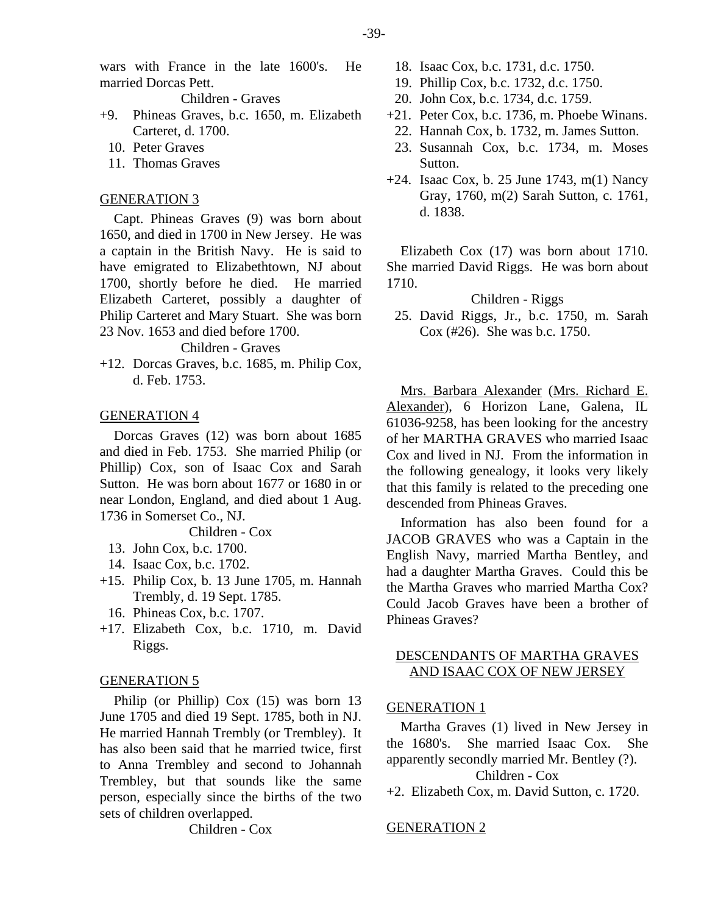wars with France in the late 1600's. He married Dorcas Pett.

Children - Graves

- +9. Phineas Graves, b.c. 1650, m. Elizabeth Carteret, d. 1700.
	- 10. Peter Graves
	- 11. Thomas Graves

#### GENERATION 3

Capt. Phineas Graves (9) was born about 1650, and died in 1700 in New Jersey. He was a captain in the British Navy. He is said to have emigrated to Elizabethtown, NJ about 1700, shortly before he died. He married Elizabeth Carteret, possibly a daughter of Philip Carteret and Mary Stuart. She was born 23 Nov. 1653 and died before 1700.

#### Children - Graves

+12. Dorcas Graves, b.c. 1685, m. Philip Cox, d. Feb. 1753.

#### GENERATION 4

Dorcas Graves (12) was born about 1685 and died in Feb. 1753. She married Philip (or Phillip) Cox, son of Isaac Cox and Sarah Sutton. He was born about 1677 or 1680 in or near London, England, and died about 1 Aug. 1736 in Somerset Co., NJ.

Children - Cox

- 13. John Cox, b.c. 1700.
- 14. Isaac Cox, b.c. 1702.
- +15. Philip Cox, b. 13 June 1705, m. Hannah Trembly, d. 19 Sept. 1785.
	- 16. Phineas Cox, b.c. 1707.
- +17. Elizabeth Cox, b.c. 1710, m. David Riggs.

#### GENERATION 5

Philip (or Phillip) Cox (15) was born 13 June 1705 and died 19 Sept. 1785, both in NJ. He married Hannah Trembly (or Trembley). It has also been said that he married twice, first to Anna Trembley and second to Johannah Trembley, but that sounds like the same person, especially since the births of the two sets of children overlapped.

Children - Cox

- 18. Isaac Cox, b.c. 1731, d.c. 1750.
- 19. Phillip Cox, b.c. 1732, d.c. 1750.
- 20. John Cox, b.c. 1734, d.c. 1759.
- +21. Peter Cox, b.c. 1736, m. Phoebe Winans.
- 22. Hannah Cox, b. 1732, m. James Sutton.
- 23. Susannah Cox, b.c. 1734, m. Moses Sutton.
- $+24$ . Isaac Cox, b. 25 June 1743, m(1) Nancy Gray, 1760, m(2) Sarah Sutton, c. 1761, d. 1838.

Elizabeth Cox (17) was born about 1710. She married David Riggs. He was born about 1710.

Children - Riggs

 25. David Riggs, Jr., b.c. 1750, m. Sarah Cox (#26). She was b.c. 1750.

Mrs. Barbara Alexander (Mrs. Richard E. Alexander), 6 Horizon Lane, Galena, IL 61036-9258, has been looking for the ancestry of her MARTHA GRAVES who married Isaac Cox and lived in NJ. From the information in the following genealogy, it looks very likely that this family is related to the preceding one descended from Phineas Graves.

Information has also been found for a JACOB GRAVES who was a Captain in the English Navy, married Martha Bentley, and had a daughter Martha Graves. Could this be the Martha Graves who married Martha Cox? Could Jacob Graves have been a brother of Phineas Graves?

# DESCENDANTS OF MARTHA GRAVES AND ISAAC COX OF NEW JERSEY

#### GENERATION 1

Martha Graves (1) lived in New Jersey in the 1680's. She married Isaac Cox. She apparently secondly married Mr. Bentley (?). Children - Cox

+2. Elizabeth Cox, m. David Sutton, c. 1720.

### GENERATION 2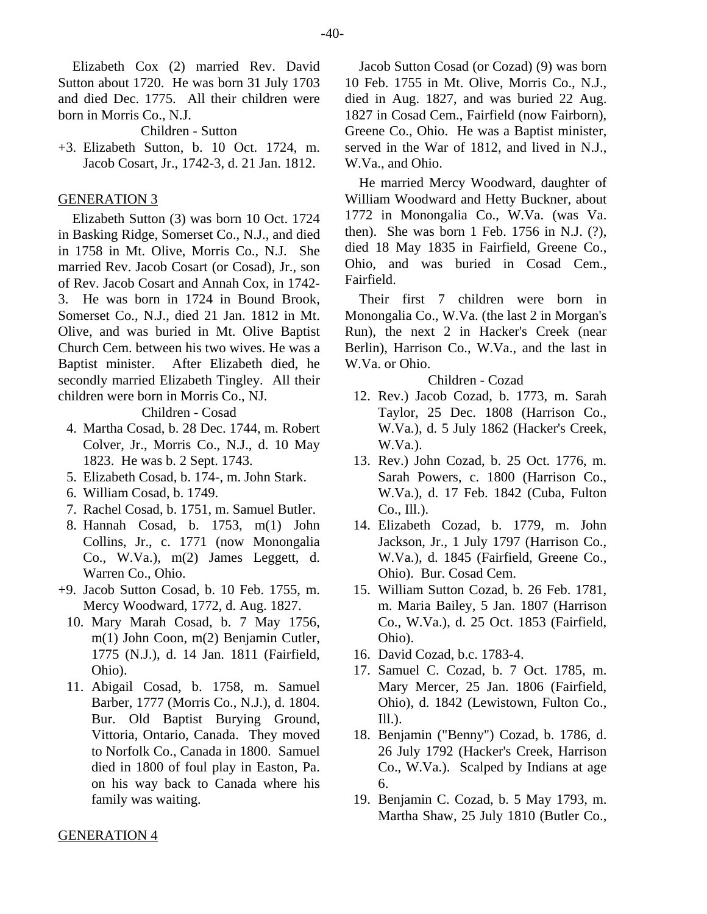Elizabeth Cox (2) married Rev. David Sutton about 1720. He was born 31 July 1703 and died Dec. 1775. All their children were born in Morris Co., N.J.

Children - Sutton

+3. Elizabeth Sutton, b. 10 Oct. 1724, m. Jacob Cosart, Jr., 1742-3, d. 21 Jan. 1812.

#### GENERATION 3

Elizabeth Sutton (3) was born 10 Oct. 1724 in Basking Ridge, Somerset Co., N.J., and died in 1758 in Mt. Olive, Morris Co., N.J. She married Rev. Jacob Cosart (or Cosad), Jr., son of Rev. Jacob Cosart and Annah Cox, in 1742- 3. He was born in 1724 in Bound Brook, Somerset Co., N.J., died 21 Jan. 1812 in Mt. Olive, and was buried in Mt. Olive Baptist Church Cem. between his two wives. He was a Baptist minister. After Elizabeth died, he secondly married Elizabeth Tingley. All their children were born in Morris Co., NJ.

Children - Cosad

- 4. Martha Cosad, b. 28 Dec. 1744, m. Robert Colver, Jr., Morris Co., N.J., d. 10 May 1823. He was b. 2 Sept. 1743.
- 5. Elizabeth Cosad, b. 174-, m. John Stark.
- 6. William Cosad, b. 1749.
- 7. Rachel Cosad, b. 1751, m. Samuel Butler.
- 8. Hannah Cosad, b. 1753, m(1) John Collins, Jr., c. 1771 (now Monongalia Co., W.Va.), m(2) James Leggett, d. Warren Co., Ohio.
- +9. Jacob Sutton Cosad, b. 10 Feb. 1755, m. Mercy Woodward, 1772, d. Aug. 1827.
	- 10. Mary Marah Cosad, b. 7 May 1756, m(1) John Coon, m(2) Benjamin Cutler, 1775 (N.J.), d. 14 Jan. 1811 (Fairfield, Ohio).
	- 11. Abigail Cosad, b. 1758, m. Samuel Barber, 1777 (Morris Co., N.J.), d. 1804. Bur. Old Baptist Burying Ground, Vittoria, Ontario, Canada. They moved to Norfolk Co., Canada in 1800. Samuel died in 1800 of foul play in Easton, Pa. on his way back to Canada where his family was waiting.

Jacob Sutton Cosad (or Cozad) (9) was born 10 Feb. 1755 in Mt. Olive, Morris Co., N.J., died in Aug. 1827, and was buried 22 Aug. 1827 in Cosad Cem., Fairfield (now Fairborn), Greene Co., Ohio. He was a Baptist minister, served in the War of 1812, and lived in N.J., W.Va., and Ohio.

He married Mercy Woodward, daughter of William Woodward and Hetty Buckner, about 1772 in Monongalia Co., W.Va. (was Va. then). She was born 1 Feb. 1756 in N.J. (?), died 18 May 1835 in Fairfield, Greene Co., Ohio, and was buried in Cosad Cem., Fairfield.

Their first 7 children were born in Monongalia Co., W.Va. (the last 2 in Morgan's Run), the next 2 in Hacker's Creek (near Berlin), Harrison Co., W.Va., and the last in W.Va. or Ohio.

#### Children - Cozad

- 12. Rev.) Jacob Cozad, b. 1773, m. Sarah Taylor, 25 Dec. 1808 (Harrison Co., W.Va.), d. 5 July 1862 (Hacker's Creek, W.Va.).
- 13. Rev.) John Cozad, b. 25 Oct. 1776, m. Sarah Powers, c. 1800 (Harrison Co., W.Va.), d. 17 Feb. 1842 (Cuba, Fulton Co., Ill.).
- 14. Elizabeth Cozad, b. 1779, m. John Jackson, Jr., 1 July 1797 (Harrison Co., W.Va.), d. 1845 (Fairfield, Greene Co., Ohio). Bur. Cosad Cem.
- 15. William Sutton Cozad, b. 26 Feb. 1781, m. Maria Bailey, 5 Jan. 1807 (Harrison Co., W.Va.), d. 25 Oct. 1853 (Fairfield, Ohio).
- 16. David Cozad, b.c. 1783-4.
- 17. Samuel C. Cozad, b. 7 Oct. 1785, m. Mary Mercer, 25 Jan. 1806 (Fairfield, Ohio), d. 1842 (Lewistown, Fulton Co.,  $III.$ ).
- 18. Benjamin ("Benny") Cozad, b. 1786, d. 26 July 1792 (Hacker's Creek, Harrison Co., W.Va.). Scalped by Indians at age 6.
- 19. Benjamin C. Cozad, b. 5 May 1793, m. Martha Shaw, 25 July 1810 (Butler Co.,

#### GENERATION 4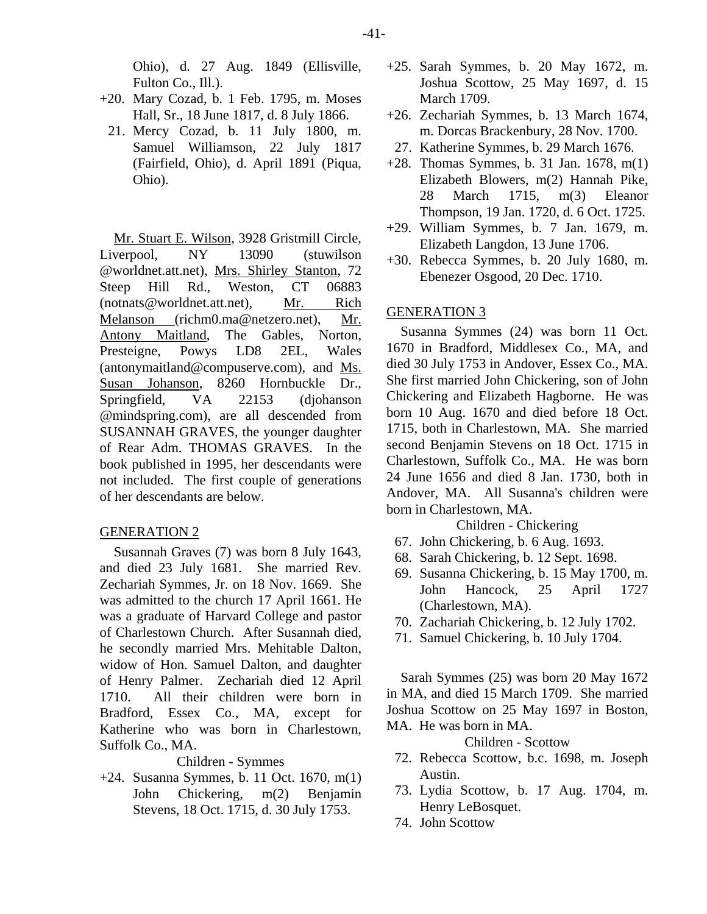Ohio), d. 27 Aug. 1849 (Ellisville, Fulton Co., Ill.).

- +20. Mary Cozad, b. 1 Feb. 1795, m. Moses Hall, Sr., 18 June 1817, d. 8 July 1866.
	- 21. Mercy Cozad, b. 11 July 1800, m. Samuel Williamson, 22 July 1817 (Fairfield, Ohio), d. April 1891 (Piqua, Ohio).

Mr. Stuart E. Wilson, 3928 Gristmill Circle, Liverpool, NY 13090 (stuwilson @worldnet.att.net), Mrs. Shirley Stanton, 72 Steep Hill Rd., Weston, CT 06883 (notnats@worldnet.att.net), Mr. Rich Melanson (richm0.ma@netzero.net), Mr. Antony Maitland, The Gables, Norton, Presteigne, Powys LD8 2EL, Wales (antonymaitland@compuserve.com), and Ms. Susan Johanson, 8260 Hornbuckle Dr., Springfield, VA 22153 (djohanson @mindspring.com), are all descended from SUSANNAH GRAVES, the younger daughter of Rear Adm. THOMAS GRAVES. In the book published in 1995, her descendants were not included. The first couple of generations of her descendants are below.

#### GENERATION 2

Susannah Graves (7) was born 8 July 1643, and died 23 July 1681. She married Rev. Zechariah Symmes, Jr. on 18 Nov. 1669. She was admitted to the church 17 April 1661. He was a graduate of Harvard College and pastor of Charlestown Church. After Susannah died, he secondly married Mrs. Mehitable Dalton, widow of Hon. Samuel Dalton, and daughter of Henry Palmer. Zechariah died 12 April 1710. All their children were born in Bradford, Essex Co., MA, except for Katherine who was born in Charlestown, Suffolk Co., MA.

#### Children - Symmes

+24. Susanna Symmes, b. 11 Oct. 1670, m(1) John Chickering, m(2) Benjamin Stevens, 18 Oct. 1715, d. 30 July 1753.

- +25. Sarah Symmes, b. 20 May 1672, m. Joshua Scottow, 25 May 1697, d. 15 March 1709.
- +26. Zechariah Symmes, b. 13 March 1674, m. Dorcas Brackenbury, 28 Nov. 1700.
- 27. Katherine Symmes, b. 29 March 1676.
- +28. Thomas Symmes, b. 31 Jan. 1678, m(1) Elizabeth Blowers, m(2) Hannah Pike, 28 March 1715, m(3) Eleanor Thompson, 19 Jan. 1720, d. 6 Oct. 1725.
- +29. William Symmes, b. 7 Jan. 1679, m. Elizabeth Langdon, 13 June 1706.
- +30. Rebecca Symmes, b. 20 July 1680, m. Ebenezer Osgood, 20 Dec. 1710.

# GENERATION 3

Susanna Symmes (24) was born 11 Oct. 1670 in Bradford, Middlesex Co., MA, and died 30 July 1753 in Andover, Essex Co., MA. She first married John Chickering, son of John Chickering and Elizabeth Hagborne. He was born 10 Aug. 1670 and died before 18 Oct. 1715, both in Charlestown, MA. She married second Benjamin Stevens on 18 Oct. 1715 in Charlestown, Suffolk Co., MA. He was born 24 June 1656 and died 8 Jan. 1730, both in Andover, MA. All Susanna's children were born in Charlestown, MA.

Children - Chickering

- 67. John Chickering, b. 6 Aug. 1693.
- 68. Sarah Chickering, b. 12 Sept. 1698.
- 69. Susanna Chickering, b. 15 May 1700, m. John Hancock, 25 April 1727 (Charlestown, MA).
- 70. Zachariah Chickering, b. 12 July 1702.
- 71. Samuel Chickering, b. 10 July 1704.

Sarah Symmes (25) was born 20 May 1672 in MA, and died 15 March 1709. She married Joshua Scottow on 25 May 1697 in Boston, MA. He was born in MA.

Children - Scottow

- 72. Rebecca Scottow, b.c. 1698, m. Joseph Austin.
- 73. Lydia Scottow, b. 17 Aug. 1704, m. Henry LeBosquet.
- 74. John Scottow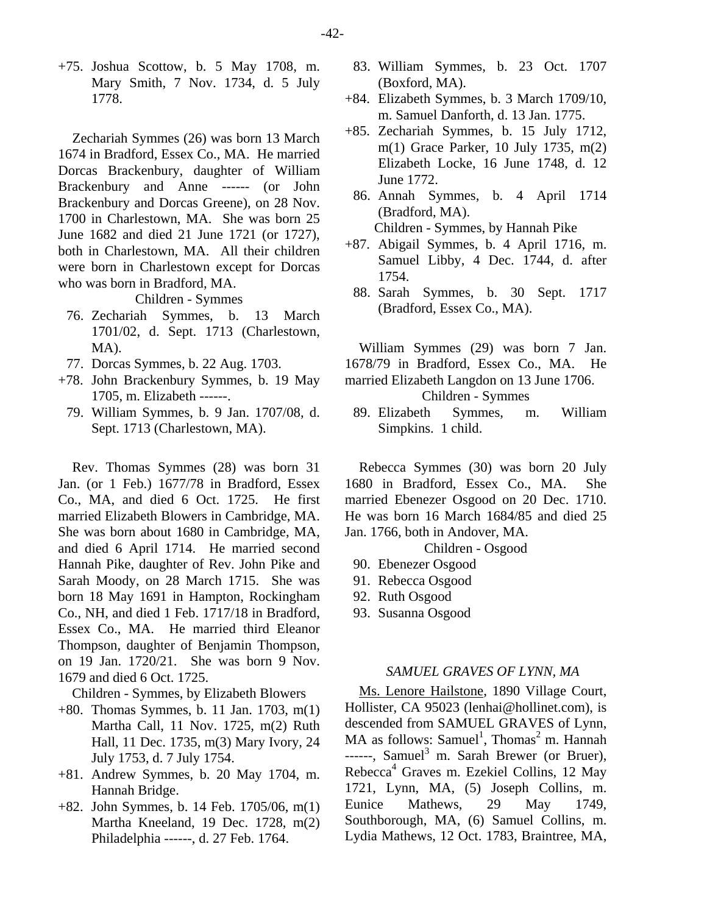+75. Joshua Scottow, b. 5 May 1708, m. Mary Smith, 7 Nov. 1734, d. 5 July 1778.

Zechariah Symmes (26) was born 13 March 1674 in Bradford, Essex Co., MA. He married Dorcas Brackenbury, daughter of William Brackenbury and Anne ------ (or John Brackenbury and Dorcas Greene), on 28 Nov. 1700 in Charlestown, MA. She was born 25 June 1682 and died 21 June 1721 (or 1727), both in Charlestown, MA. All their children were born in Charlestown except for Dorcas who was born in Bradford, MA.

Children - Symmes

- 76. Zechariah Symmes, b. 13 March 1701/02, d. Sept. 1713 (Charlestown, MA).
- 77. Dorcas Symmes, b. 22 Aug. 1703.
- +78. John Brackenbury Symmes, b. 19 May 1705, m. Elizabeth ------.
- 79. William Symmes, b. 9 Jan. 1707/08, d. Sept. 1713 (Charlestown, MA).

Rev. Thomas Symmes (28) was born 31 Jan. (or 1 Feb.) 1677/78 in Bradford, Essex Co., MA, and died 6 Oct. 1725. He first married Elizabeth Blowers in Cambridge, MA. She was born about 1680 in Cambridge, MA, and died 6 April 1714. He married second Hannah Pike, daughter of Rev. John Pike and Sarah Moody, on 28 March 1715. She was born 18 May 1691 in Hampton, Rockingham Co., NH, and died 1 Feb. 1717/18 in Bradford, Essex Co., MA. He married third Eleanor Thompson, daughter of Benjamin Thompson, on 19 Jan. 1720/21. She was born 9 Nov. 1679 and died 6 Oct. 1725.

Children - Symmes, by Elizabeth Blowers

- +80. Thomas Symmes, b. 11 Jan. 1703, m(1) Martha Call, 11 Nov. 1725, m(2) Ruth Hall, 11 Dec. 1735, m(3) Mary Ivory, 24 July 1753, d. 7 July 1754.
- +81. Andrew Symmes, b. 20 May 1704, m. Hannah Bridge.
- +82. John Symmes, b. 14 Feb. 1705/06, m(1) Martha Kneeland, 19 Dec. 1728, m(2) Philadelphia ------, d. 27 Feb. 1764.
- 83. William Symmes, b. 23 Oct. 1707 (Boxford, MA).
- +84. Elizabeth Symmes, b. 3 March 1709/10, m. Samuel Danforth, d. 13 Jan. 1775.
- +85. Zechariah Symmes, b. 15 July 1712, m(1) Grace Parker, 10 July 1735, m(2) Elizabeth Locke, 16 June 1748, d. 12 June 1772.
	- 86. Annah Symmes, b. 4 April 1714 (Bradford, MA).

Children - Symmes, by Hannah Pike

- +87. Abigail Symmes, b. 4 April 1716, m. Samuel Libby, 4 Dec. 1744, d. after 1754.
	- 88. Sarah Symmes, b. 30 Sept. 1717 (Bradford, Essex Co., MA).

William Symmes (29) was born 7 Jan. 1678/79 in Bradford, Essex Co., MA. He married Elizabeth Langdon on 13 June 1706.

Children - Symmes

 89. Elizabeth Symmes, m. William Simpkins. 1 child.

Rebecca Symmes (30) was born 20 July 1680 in Bradford, Essex Co., MA. She married Ebenezer Osgood on 20 Dec. 1710. He was born 16 March 1684/85 and died 25 Jan. 1766, both in Andover, MA.

Children - Osgood

- 90. Ebenezer Osgood
- 91. Rebecca Osgood
- 92. Ruth Osgood
- 93. Susanna Osgood

#### *SAMUEL GRAVES OF LYNN, MA*

Ms. Lenore Hailstone, 1890 Village Court, Hollister, CA 95023 (lenhai@hollinet.com), is descended from SAMUEL GRAVES of Lynn,  $MA$  as follows: Samuel<sup>1</sup>, Thomas<sup>2</sup> m. Hannah ------, Samuel<sup>3</sup> m. Sarah Brewer (or Bruer), Rebecca<sup>4</sup> Graves m. Ezekiel Collins, 12 May 1721, Lynn, MA, (5) Joseph Collins, m. Eunice Mathews, 29 May 1749, Southborough, MA, (6) Samuel Collins, m. Lydia Mathews, 12 Oct. 1783, Braintree, MA,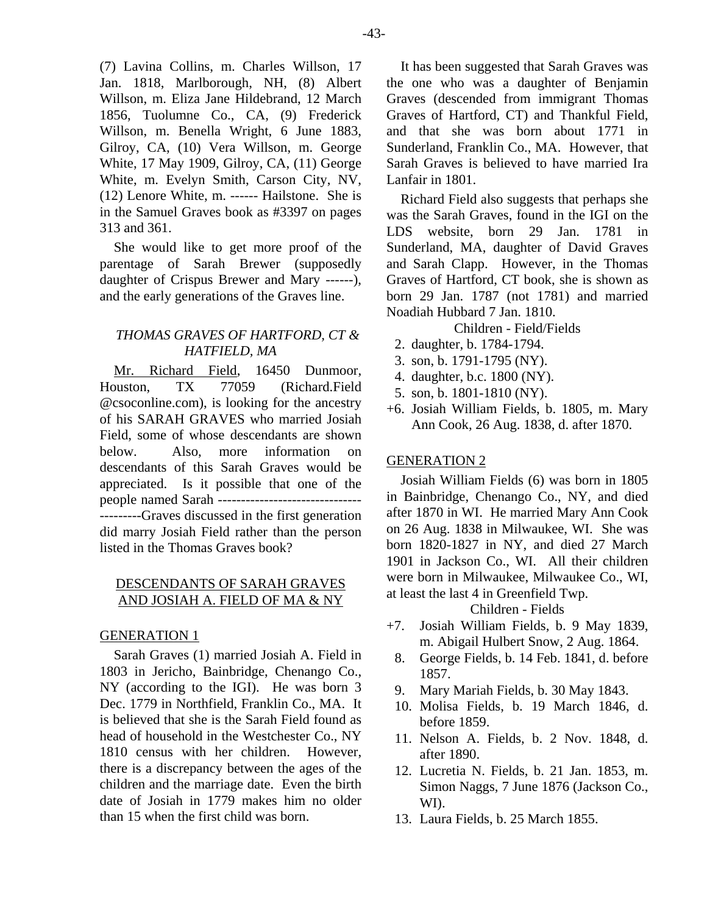(7) Lavina Collins, m. Charles Willson, 17 Jan. 1818, Marlborough, NH, (8) Albert Willson, m. Eliza Jane Hildebrand, 12 March 1856, Tuolumne Co., CA, (9) Frederick Willson, m. Benella Wright, 6 June 1883, Gilroy, CA, (10) Vera Willson, m. George White, 17 May 1909, Gilroy, CA, (11) George White, m. Evelyn Smith, Carson City, NV, (12) Lenore White, m. ------ Hailstone. She is in the Samuel Graves book as #3397 on pages 313 and 361.

She would like to get more proof of the parentage of Sarah Brewer (supposedly daughter of Crispus Brewer and Mary ------), and the early generations of the Graves line.

# *THOMAS GRAVES OF HARTFORD, CT & HATFIELD, MA*

Mr. Richard Field, 16450 Dunmoor, Houston, TX 77059 (Richard.Field @csoconline.com), is looking for the ancestry of his SARAH GRAVES who married Josiah Field, some of whose descendants are shown below. Also, more information on descendants of this Sarah Graves would be appreciated. Is it possible that one of the people named Sarah ------------------------------- ---------Graves discussed in the first generation did marry Josiah Field rather than the person listed in the Thomas Graves book?

# DESCENDANTS OF SARAH GRAVES AND JOSIAH A. FIELD OF MA & NY

#### GENERATION 1

Sarah Graves (1) married Josiah A. Field in 1803 in Jericho, Bainbridge, Chenango Co., NY (according to the IGI). He was born 3 Dec. 1779 in Northfield, Franklin Co., MA. It is believed that she is the Sarah Field found as head of household in the Westchester Co., NY 1810 census with her children. However, there is a discrepancy between the ages of the children and the marriage date. Even the birth date of Josiah in 1779 makes him no older than 15 when the first child was born.

It has been suggested that Sarah Graves was the one who was a daughter of Benjamin Graves (descended from immigrant Thomas Graves of Hartford, CT) and Thankful Field, and that she was born about 1771 in Sunderland, Franklin Co., MA. However, that Sarah Graves is believed to have married Ira Lanfair in 1801.

Richard Field also suggests that perhaps she was the Sarah Graves, found in the IGI on the LDS website, born 29 Jan. 1781 in Sunderland, MA, daughter of David Graves and Sarah Clapp. However, in the Thomas Graves of Hartford, CT book, she is shown as born 29 Jan. 1787 (not 1781) and married Noadiah Hubbard 7 Jan. 1810.

Children - Field/Fields

- 2. daughter, b. 1784-1794.
- 3. son, b. 1791-1795 (NY).
- 4. daughter, b.c. 1800 (NY).
- 5. son, b. 1801-1810 (NY).
- +6. Josiah William Fields, b. 1805, m. Mary Ann Cook, 26 Aug. 1838, d. after 1870.

# GENERATION 2

Josiah William Fields (6) was born in 1805 in Bainbridge, Chenango Co., NY, and died after 1870 in WI. He married Mary Ann Cook on 26 Aug. 1838 in Milwaukee, WI. She was born 1820-1827 in NY, and died 27 March 1901 in Jackson Co., WI. All their children were born in Milwaukee, Milwaukee Co., WI, at least the last 4 in Greenfield Twp.

Children - Fields

- +7. Josiah William Fields, b. 9 May 1839, m. Abigail Hulbert Snow, 2 Aug. 1864.
	- 8. George Fields, b. 14 Feb. 1841, d. before 1857.
	- 9. Mary Mariah Fields, b. 30 May 1843.
	- 10. Molisa Fields, b. 19 March 1846, d. before 1859.
- 11. Nelson A. Fields, b. 2 Nov. 1848, d. after 1890.
- 12. Lucretia N. Fields, b. 21 Jan. 1853, m. Simon Naggs, 7 June 1876 (Jackson Co., WI).
- 13. Laura Fields, b. 25 March 1855.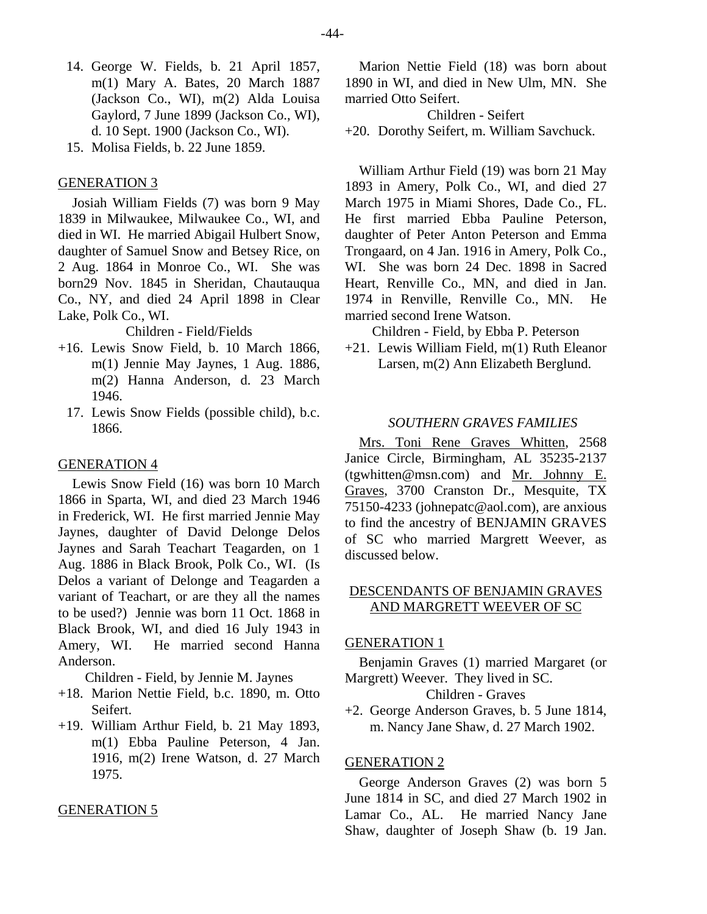- 14. George W. Fields, b. 21 April 1857, m(1) Mary A. Bates, 20 March 1887 (Jackson Co., WI), m(2) Alda Louisa Gaylord, 7 June 1899 (Jackson Co., WI), d. 10 Sept. 1900 (Jackson Co., WI).
- 15. Molisa Fields, b. 22 June 1859.

#### GENERATION 3

Josiah William Fields (7) was born 9 May 1839 in Milwaukee, Milwaukee Co., WI, and died in WI. He married Abigail Hulbert Snow, daughter of Samuel Snow and Betsey Rice, on 2 Aug. 1864 in Monroe Co., WI. She was born29 Nov. 1845 in Sheridan, Chautauqua Co., NY, and died 24 April 1898 in Clear Lake, Polk Co., WI.

Children - Field/Fields

- +16. Lewis Snow Field, b. 10 March 1866, m(1) Jennie May Jaynes, 1 Aug. 1886, m(2) Hanna Anderson, d. 23 March 1946.
	- 17. Lewis Snow Fields (possible child), b.c. 1866.

#### GENERATION 4

Lewis Snow Field (16) was born 10 March 1866 in Sparta, WI, and died 23 March 1946 in Frederick, WI. He first married Jennie May Jaynes, daughter of David Delonge Delos Jaynes and Sarah Teachart Teagarden, on 1 Aug. 1886 in Black Brook, Polk Co., WI. (Is Delos a variant of Delonge and Teagarden a variant of Teachart, or are they all the names to be used?) Jennie was born 11 Oct. 1868 in Black Brook, WI, and died 16 July 1943 in Amery, WI. He married second Hanna Anderson.

Children - Field, by Jennie M. Jaynes

- +18. Marion Nettie Field, b.c. 1890, m. Otto Seifert.
- +19. William Arthur Field, b. 21 May 1893, m(1) Ebba Pauline Peterson, 4 Jan. 1916, m(2) Irene Watson, d. 27 March 1975.

#### GENERATION 5

Marion Nettie Field (18) was born about 1890 in WI, and died in New Ulm, MN. She married Otto Seifert.

Children - Seifert

+20. Dorothy Seifert, m. William Savchuck.

William Arthur Field (19) was born 21 May 1893 in Amery, Polk Co., WI, and died 27 March 1975 in Miami Shores, Dade Co., FL. He first married Ebba Pauline Peterson, daughter of Peter Anton Peterson and Emma Trongaard, on 4 Jan. 1916 in Amery, Polk Co., WI. She was born 24 Dec. 1898 in Sacred Heart, Renville Co., MN, and died in Jan. 1974 in Renville, Renville Co., MN. He married second Irene Watson.

Children - Field, by Ebba P. Peterson

+21. Lewis William Field, m(1) Ruth Eleanor Larsen, m(2) Ann Elizabeth Berglund.

#### *SOUTHERN GRAVES FAMILIES*

Mrs. Toni Rene Graves Whitten, 2568 Janice Circle, Birmingham, AL 35235-2137 (tgwhitten@msn.com) and Mr. Johnny E. Graves, 3700 Cranston Dr., Mesquite, TX 75150-4233 (johnepatc@aol.com), are anxious to find the ancestry of BENJAMIN GRAVES of SC who married Margrett Weever, as discussed below.

# DESCENDANTS OF BENJAMIN GRAVES AND MARGRETT WEEVER OF SC

# GENERATION 1

Benjamin Graves (1) married Margaret (or Margrett) Weever. They lived in SC.

Children - Graves

+2. George Anderson Graves, b. 5 June 1814, m. Nancy Jane Shaw, d. 27 March 1902.

# GENERATION 2

George Anderson Graves (2) was born 5 June 1814 in SC, and died 27 March 1902 in Lamar Co., AL. He married Nancy Jane Shaw, daughter of Joseph Shaw (b. 19 Jan.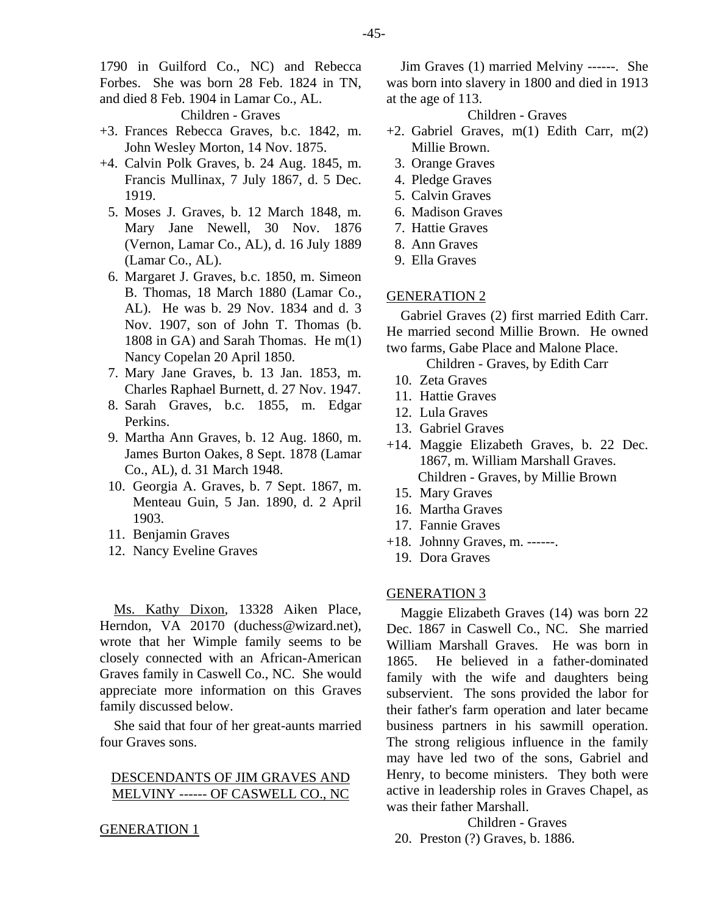1790 in Guilford Co., NC) and Rebecca Forbes. She was born 28 Feb. 1824 in TN, and died 8 Feb. 1904 in Lamar Co., AL.

Children - Graves

- +3. Frances Rebecca Graves, b.c. 1842, m. John Wesley Morton, 14 Nov. 1875.
- +4. Calvin Polk Graves, b. 24 Aug. 1845, m. Francis Mullinax, 7 July 1867, d. 5 Dec. 1919.
	- 5. Moses J. Graves, b. 12 March 1848, m. Mary Jane Newell, 30 Nov. 1876 (Vernon, Lamar Co., AL), d. 16 July 1889 (Lamar Co., AL).
	- 6. Margaret J. Graves, b.c. 1850, m. Simeon B. Thomas, 18 March 1880 (Lamar Co., AL). He was b. 29 Nov. 1834 and d. 3 Nov. 1907, son of John T. Thomas (b. 1808 in GA) and Sarah Thomas. He m(1) Nancy Copelan 20 April 1850.
	- 7. Mary Jane Graves, b. 13 Jan. 1853, m. Charles Raphael Burnett, d. 27 Nov. 1947.
	- 8. Sarah Graves, b.c. 1855, m. Edgar Perkins.
	- 9. Martha Ann Graves, b. 12 Aug. 1860, m. James Burton Oakes, 8 Sept. 1878 (Lamar Co., AL), d. 31 March 1948.
	- 10. Georgia A. Graves, b. 7 Sept. 1867, m. Menteau Guin, 5 Jan. 1890, d. 2 April 1903.
	- 11. Benjamin Graves
	- 12. Nancy Eveline Graves

Ms. Kathy Dixon, 13328 Aiken Place, Herndon, VA 20170 (duchess@wizard.net), wrote that her Wimple family seems to be closely connected with an African-American Graves family in Caswell Co., NC. She would appreciate more information on this Graves family discussed below.

She said that four of her great-aunts married four Graves sons.

# DESCENDANTS OF JIM GRAVES AND MELVINY ------ OF CASWELL CO., NC

#### GENERATION 1

Jim Graves (1) married Melviny ------. She was born into slavery in 1800 and died in 1913 at the age of 113.

# Children - Graves

- +2. Gabriel Graves, m(1) Edith Carr, m(2) Millie Brown.
	- 3. Orange Graves
	- 4. Pledge Graves
	- 5. Calvin Graves
	- 6. Madison Graves
	- 7. Hattie Graves
	- 8. Ann Graves
	- 9. Ella Graves

#### GENERATION 2

Gabriel Graves (2) first married Edith Carr. He married second Millie Brown. He owned two farms, Gabe Place and Malone Place.

Children - Graves, by Edith Carr

- 10. Zeta Graves
- 11. Hattie Graves
- 12. Lula Graves
- 13. Gabriel Graves
- +14. Maggie Elizabeth Graves, b. 22 Dec. 1867, m. William Marshall Graves. Children - Graves, by Millie Brown
	- 15. Mary Graves
	- 16. Martha Graves
	- 17. Fannie Graves
- +18. Johnny Graves, m. ------.
	- 19. Dora Graves

#### GENERATION 3

Maggie Elizabeth Graves (14) was born 22 Dec. 1867 in Caswell Co., NC. She married William Marshall Graves. He was born in 1865. He believed in a father-dominated family with the wife and daughters being subservient. The sons provided the labor for their father's farm operation and later became business partners in his sawmill operation. The strong religious influence in the family may have led two of the sons, Gabriel and Henry, to become ministers. They both were active in leadership roles in Graves Chapel, as was their father Marshall.

Children - Graves

20. Preston (?) Graves, b. 1886.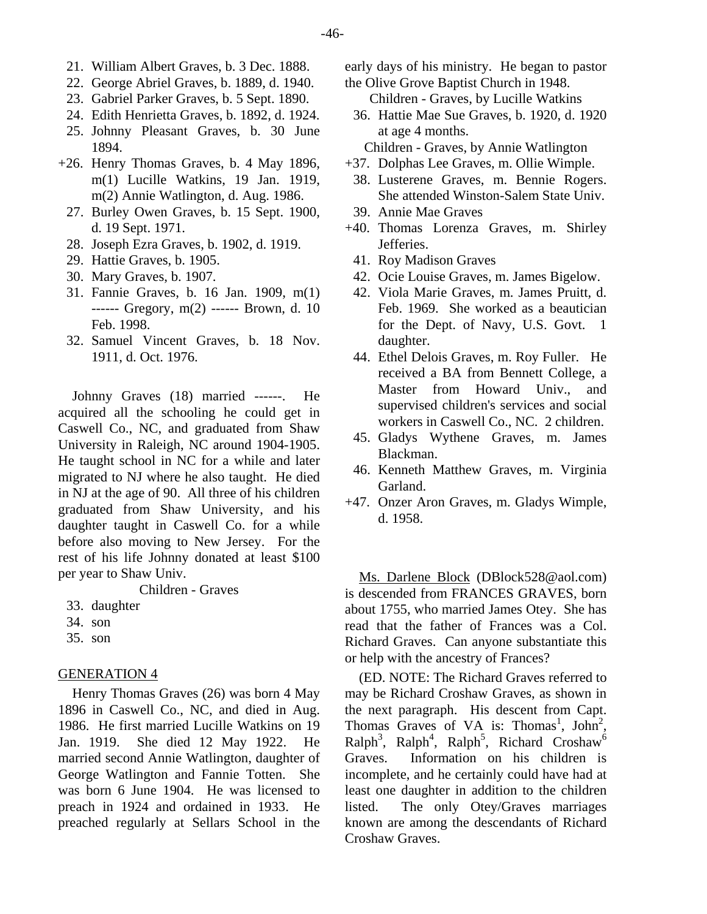- 21. William Albert Graves, b. 3 Dec. 1888.
- 22. George Abriel Graves, b. 1889, d. 1940.
- 23. Gabriel Parker Graves, b. 5 Sept. 1890.
- 24. Edith Henrietta Graves, b. 1892, d. 1924.
- 25. Johnny Pleasant Graves, b. 30 June 1894.
- +26. Henry Thomas Graves, b. 4 May 1896, m(1) Lucille Watkins, 19 Jan. 1919, m(2) Annie Watlington, d. Aug. 1986.
	- 27. Burley Owen Graves, b. 15 Sept. 1900, d. 19 Sept. 1971.
	- 28. Joseph Ezra Graves, b. 1902, d. 1919.
	- 29. Hattie Graves, b. 1905.
	- 30. Mary Graves, b. 1907.
	- 31. Fannie Graves, b. 16 Jan. 1909, m(1) ------ Gregory, m(2) ------ Brown, d. 10 Feb. 1998.
	- 32. Samuel Vincent Graves, b. 18 Nov. 1911, d. Oct. 1976.

Johnny Graves (18) married ------. He acquired all the schooling he could get in Caswell Co., NC, and graduated from Shaw University in Raleigh, NC around 1904-1905. He taught school in NC for a while and later migrated to NJ where he also taught. He died in NJ at the age of 90. All three of his children graduated from Shaw University, and his daughter taught in Caswell Co. for a while before also moving to New Jersey. For the rest of his life Johnny donated at least \$100 per year to Shaw Univ.

Children - Graves

- 33. daughter
- 34. son
- 35. son

#### GENERATION 4

Henry Thomas Graves (26) was born 4 May 1896 in Caswell Co., NC, and died in Aug. 1986. He first married Lucille Watkins on 19 Jan. 1919. She died 12 May 1922. He married second Annie Watlington, daughter of George Watlington and Fannie Totten. She was born 6 June 1904. He was licensed to preach in 1924 and ordained in 1933. He preached regularly at Sellars School in the early days of his ministry. He began to pastor the Olive Grove Baptist Church in 1948.

- Children Graves, by Lucille Watkins
- 36. Hattie Mae Sue Graves, b. 1920, d. 1920 at age 4 months.
- Children Graves, by Annie Watlington
- +37. Dolphas Lee Graves, m. Ollie Wimple.
- 38. Lusterene Graves, m. Bennie Rogers. She attended Winston-Salem State Univ.
- 39. Annie Mae Graves
- +40. Thomas Lorenza Graves, m. Shirley Jefferies.
	- 41. Roy Madison Graves
	- 42. Ocie Louise Graves, m. James Bigelow.
	- 42. Viola Marie Graves, m. James Pruitt, d. Feb. 1969. She worked as a beautician for the Dept. of Navy, U.S. Govt. 1 daughter.
- 44. Ethel Delois Graves, m. Roy Fuller. He received a BA from Bennett College, a Master from Howard Univ., and supervised children's services and social workers in Caswell Co., NC. 2 children.
- 45. Gladys Wythene Graves, m. James Blackman.
- 46. Kenneth Matthew Graves, m. Virginia Garland.
- +47. Onzer Aron Graves, m. Gladys Wimple, d. 1958.

Ms. Darlene Block (DBlock528@aol.com) is descended from FRANCES GRAVES, born about 1755, who married James Otey. She has read that the father of Frances was a Col. Richard Graves. Can anyone substantiate this or help with the ancestry of Frances?

(ED. NOTE: The Richard Graves referred to may be Richard Croshaw Graves, as shown in the next paragraph. His descent from Capt. Thomas Graves of VA is: Thomas<sup>1</sup>, John<sup>2</sup>,  $\text{Ralph}^3$ ,  $\text{Ralph}^4$ ,  $\text{Ralph}^5$ , Richard Croshaw<sup>6</sup> Graves. Information on his children is incomplete, and he certainly could have had at least one daughter in addition to the children listed. The only Otey/Graves marriages known are among the descendants of Richard Croshaw Graves.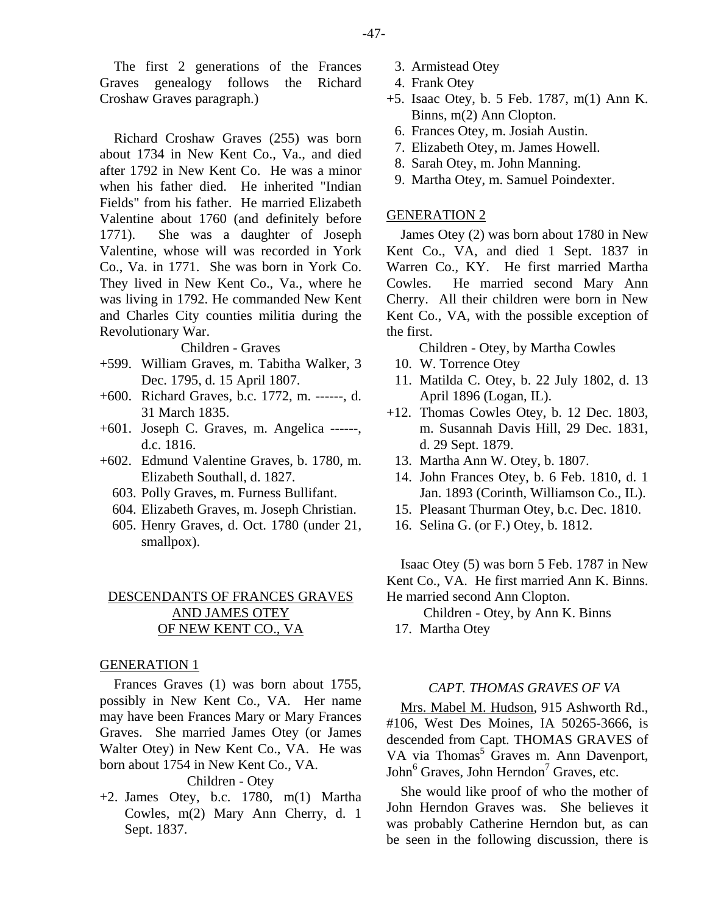The first 2 generations of the Frances Graves genealogy follows the Richard Croshaw Graves paragraph.)

Richard Croshaw Graves (255) was born about 1734 in New Kent Co., Va., and died after 1792 in New Kent Co. He was a minor when his father died. He inherited "Indian Fields" from his father. He married Elizabeth Valentine about 1760 (and definitely before 1771). She was a daughter of Joseph Valentine, whose will was recorded in York Co., Va. in 1771. She was born in York Co. They lived in New Kent Co., Va., where he was living in 1792. He commanded New Kent and Charles City counties militia during the Revolutionary War.

#### Children - Graves

- +599. William Graves, m. Tabitha Walker, 3 Dec. 1795, d. 15 April 1807.
- +600. Richard Graves, b.c. 1772, m. ------, d. 31 March 1835.
- +601. Joseph C. Graves, m. Angelica ------, d.c. 1816.
- +602. Edmund Valentine Graves, b. 1780, m. Elizabeth Southall, d. 1827.
	- 603. Polly Graves, m. Furness Bullifant.
	- 604. Elizabeth Graves, m. Joseph Christian.
	- 605. Henry Graves, d. Oct. 1780 (under 21, smallpox).

# DESCENDANTS OF FRANCES GRAVES AND JAMES OTEY OF NEW KENT CO., VA

#### GENERATION 1

Frances Graves (1) was born about 1755, possibly in New Kent Co., VA. Her name may have been Frances Mary or Mary Frances Graves. She married James Otey (or James Walter Otey) in New Kent Co., VA. He was born about 1754 in New Kent Co., VA.

# Children - Otey

+2. James Otey, b.c. 1780, m(1) Martha Cowles, m(2) Mary Ann Cherry, d. 1 Sept. 1837.

- 3. Armistead Otey
- 4. Frank Otey
- +5. Isaac Otey, b. 5 Feb. 1787, m(1) Ann K. Binns, m(2) Ann Clopton.
	- 6. Frances Otey, m. Josiah Austin.
	- 7. Elizabeth Otey, m. James Howell.
	- 8. Sarah Otey, m. John Manning.
	- 9. Martha Otey, m. Samuel Poindexter.

# GENERATION 2

James Otey (2) was born about 1780 in New Kent Co., VA, and died 1 Sept. 1837 in Warren Co., KY. He first married Martha Cowles. He married second Mary Ann Cherry. All their children were born in New Kent Co., VA, with the possible exception of the first.

Children - Otey, by Martha Cowles

- 10. W. Torrence Otey
- 11. Matilda C. Otey, b. 22 July 1802, d. 13 April 1896 (Logan, IL).
- +12. Thomas Cowles Otey, b. 12 Dec. 1803, m. Susannah Davis Hill, 29 Dec. 1831, d. 29 Sept. 1879.
	- 13. Martha Ann W. Otey, b. 1807.
	- 14. John Frances Otey, b. 6 Feb. 1810, d. 1 Jan. 1893 (Corinth, Williamson Co., IL).
	- 15. Pleasant Thurman Otey, b.c. Dec. 1810.
- 16. Selina G. (or F.) Otey, b. 1812.

Isaac Otey (5) was born 5 Feb. 1787 in New Kent Co., VA. He first married Ann K. Binns. He married second Ann Clopton.

Children - Otey, by Ann K. Binns

17. Martha Otey

#### *CAPT. THOMAS GRAVES OF VA*

Mrs. Mabel M. Hudson, 915 Ashworth Rd., #106, West Des Moines, IA 50265-3666, is descended from Capt. THOMAS GRAVES of VA via Thomas<sup>5</sup> Graves m. Ann Davenport, John<sup>6</sup> Graves, John Herndon<sup>7</sup> Graves, etc.

She would like proof of who the mother of John Herndon Graves was. She believes it was probably Catherine Herndon but, as can be seen in the following discussion, there is